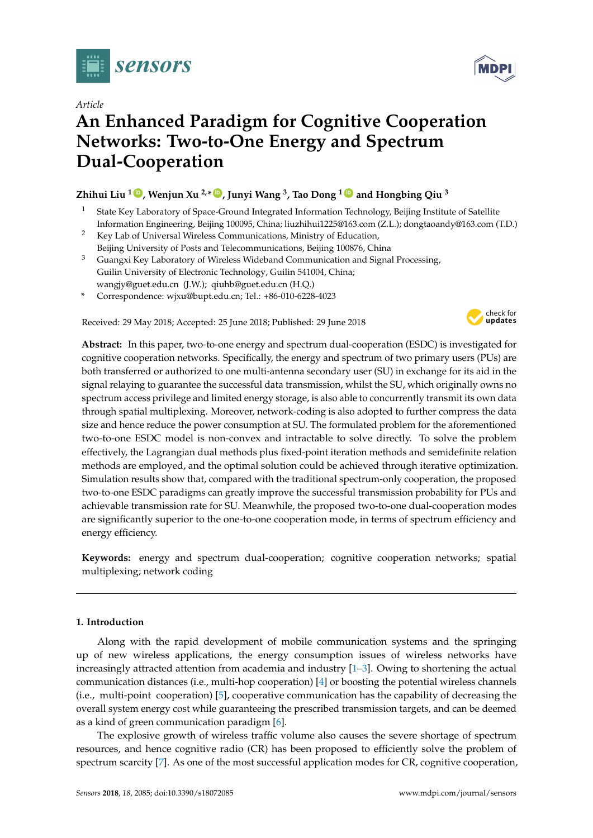

*Article*

# **MDPI**

# **An Enhanced Paradigm for Cognitive Cooperation Networks: Two-to-One Energy and Spectrum Dual-Cooperation**

# **Zhihui Liu <sup>1</sup> [ID](https://orcid.org/0000-0002-8350-5391) , Wenjun Xu 2,\* [ID](https://orcid.org/0000-0001-8767-4742) , Junyi Wang <sup>3</sup> , Tao Dong <sup>1</sup> [ID](https://orcid.org/0000-0002-9561-4085) and Hongbing Qiu <sup>3</sup>**

- <sup>1</sup> State Key Laboratory of Space-Ground Integrated Information Technology, Beijing Institute of Satellite Information Engineering, Beijing 100095, China; liuzhihui1225@163.com (Z.L.); dongtaoandy@163.com (T.D.)
- <sup>2</sup> Key Lab of Universal Wireless Communications, Ministry of Education, Beijing University of Posts and Telecommunications, Beijing 100876, China
- <sup>3</sup> Guangxi Key Laboratory of Wireless Wideband Communication and Signal Processing, Guilin University of Electronic Technology, Guilin 541004, China; wangjy@guet.edu.cn (J.W.); qiuhb@guet.edu.cn (H.Q.)
- **\*** Correspondence: wjxu@bupt.edu.cn; Tel.: +86-010-6228-4023

Received: 29 May 2018; Accepted: 25 June 2018; Published: 29 June 2018



**Abstract:** In this paper, two-to-one energy and spectrum dual-cooperation (ESDC) is investigated for cognitive cooperation networks. Specifically, the energy and spectrum of two primary users (PUs) are both transferred or authorized to one multi-antenna secondary user (SU) in exchange for its aid in the signal relaying to guarantee the successful data transmission, whilst the SU, which originally owns no spectrum access privilege and limited energy storage, is also able to concurrently transmit its own data through spatial multiplexing. Moreover, network-coding is also adopted to further compress the data size and hence reduce the power consumption at SU. The formulated problem for the aforementioned two-to-one ESDC model is non-convex and intractable to solve directly. To solve the problem effectively, the Lagrangian dual methods plus fixed-point iteration methods and semidefinite relation methods are employed, and the optimal solution could be achieved through iterative optimization. Simulation results show that, compared with the traditional spectrum-only cooperation, the proposed two-to-one ESDC paradigms can greatly improve the successful transmission probability for PUs and achievable transmission rate for SU. Meanwhile, the proposed two-to-one dual-cooperation modes are significantly superior to the one-to-one cooperation mode, in terms of spectrum efficiency and energy efficiency.

**Keywords:** energy and spectrum dual-cooperation; cognitive cooperation networks; spatial multiplexing; network coding

# **1. Introduction**

Along with the rapid development of mobile communication systems and the springing up of new wireless applications, the energy consumption issues of wireless networks have increasingly attracted attention from academia and industry [\[1–](#page-20-0)[3\]](#page-20-1). Owing to shortening the actual communication distances (i.e., multi-hop cooperation) [\[4\]](#page-20-2) or boosting the potential wireless channels (i.e., multi-point cooperation) [\[5\]](#page-20-3), cooperative communication has the capability of decreasing the overall system energy cost while guaranteeing the prescribed transmission targets, and can be deemed as a kind of green communication paradigm [\[6\]](#page-20-4).

The explosive growth of wireless traffic volume also causes the severe shortage of spectrum resources, and hence cognitive radio (CR) has been proposed to efficiently solve the problem of spectrum scarcity [\[7\]](#page-20-5). As one of the most successful application modes for CR, cognitive cooperation,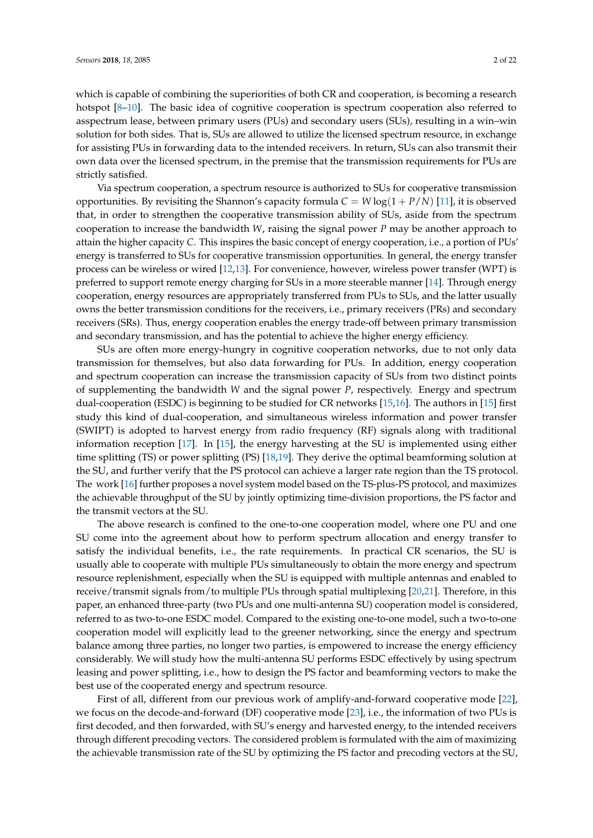which is capable of combining the superiorities of both CR and cooperation, is becoming a research hotspot [\[8–](#page-20-6)[10\]](#page-20-7). The basic idea of cognitive cooperation is spectrum cooperation also referred to asspectrum lease, between primary users (PUs) and secondary users (SUs), resulting in a win–win solution for both sides. That is, SUs are allowed to utilize the licensed spectrum resource, in exchange for assisting PUs in forwarding data to the intended receivers. In return, SUs can also transmit their own data over the licensed spectrum, in the premise that the transmission requirements for PUs are strictly satisfied.

Via spectrum cooperation, a spectrum resource is authorized to SUs for cooperative transmission opportunities. By revisiting the Shannon's capacity formula  $C = W \log(1 + P/N)$  [\[11\]](#page-20-8), it is observed that, in order to strengthen the cooperative transmission ability of SUs, aside from the spectrum cooperation to increase the bandwidth *W*, raising the signal power *P* may be another approach to attain the higher capacity *C*. This inspires the basic concept of energy cooperation, i.e., a portion of PUs' energy is transferred to SUs for cooperative transmission opportunities. In general, the energy transfer process can be wireless or wired [\[12,](#page-20-9)[13\]](#page-20-10). For convenience, however, wireless power transfer (WPT) is preferred to support remote energy charging for SUs in a more steerable manner [\[14\]](#page-20-11). Through energy cooperation, energy resources are appropriately transferred from PUs to SUs, and the latter usually owns the better transmission conditions for the receivers, i.e., primary receivers (PRs) and secondary receivers (SRs). Thus, energy cooperation enables the energy trade-off between primary transmission and secondary transmission, and has the potential to achieve the higher energy efficiency.

SUs are often more energy-hungry in cognitive cooperation networks, due to not only data transmission for themselves, but also data forwarding for PUs. In addition, energy cooperation and spectrum cooperation can increase the transmission capacity of SUs from two distinct points of supplementing the bandwidth *W* and the signal power *P*, respectively. Energy and spectrum dual-cooperation (ESDC) is beginning to be studied for CR networks [\[15](#page-20-12)[,16\]](#page-20-13). The authors in [\[15\]](#page-20-12) first study this kind of dual-cooperation, and simultaneous wireless information and power transfer (SWIPT) is adopted to harvest energy from radio frequency (RF) signals along with traditional information reception [\[17\]](#page-20-14). In [\[15\]](#page-20-12), the energy harvesting at the SU is implemented using either time splitting (TS) or power splitting (PS) [\[18](#page-20-15)[,19\]](#page-20-16). They derive the optimal beamforming solution at the SU, and further verify that the PS protocol can achieve a larger rate region than the TS protocol. The work [\[16\]](#page-20-13) further proposes a novel system model based on the TS-plus-PS protocol, and maximizes the achievable throughput of the SU by jointly optimizing time-division proportions, the PS factor and the transmit vectors at the SU.

The above research is confined to the one-to-one cooperation model, where one PU and one SU come into the agreement about how to perform spectrum allocation and energy transfer to satisfy the individual benefits, i.e., the rate requirements. In practical CR scenarios, the SU is usually able to cooperate with multiple PUs simultaneously to obtain the more energy and spectrum resource replenishment, especially when the SU is equipped with multiple antennas and enabled to receive/transmit signals from/to multiple PUs through spatial multiplexing [\[20,](#page-20-17)[21\]](#page-20-18). Therefore, in this paper, an enhanced three-party (two PUs and one multi-antenna SU) cooperation model is considered, referred to as two-to-one ESDC model. Compared to the existing one-to-one model, such a two-to-one cooperation model will explicitly lead to the greener networking, since the energy and spectrum balance among three parties, no longer two parties, is empowered to increase the energy efficiency considerably. We will study how the multi-antenna SU performs ESDC effectively by using spectrum leasing and power splitting, i.e., how to design the PS factor and beamforming vectors to make the best use of the cooperated energy and spectrum resource.

First of all, different from our previous work of amplify-and-forward cooperative mode [\[22\]](#page-21-0), we focus on the decode-and-forward (DF) cooperative mode [\[23\]](#page-21-1), i.e., the information of two PUs is first decoded, and then forwarded, with SU's energy and harvested energy, to the intended receivers through different precoding vectors. The considered problem is formulated with the aim of maximizing the achievable transmission rate of the SU by optimizing the PS factor and precoding vectors at the SU,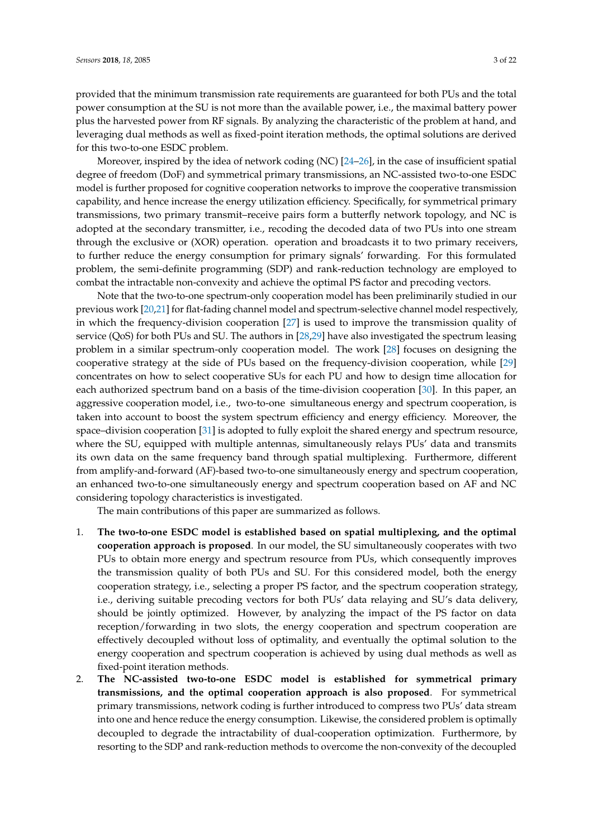provided that the minimum transmission rate requirements are guaranteed for both PUs and the total power consumption at the SU is not more than the available power, i.e., the maximal battery power plus the harvested power from RF signals. By analyzing the characteristic of the problem at hand, and leveraging dual methods as well as fixed-point iteration methods, the optimal solutions are derived for this two-to-one ESDC problem.

Moreover, inspired by the idea of network coding (NC) [\[24](#page-21-2)[–26\]](#page-21-3), in the case of insufficient spatial degree of freedom (DoF) and symmetrical primary transmissions, an NC-assisted two-to-one ESDC model is further proposed for cognitive cooperation networks to improve the cooperative transmission capability, and hence increase the energy utilization efficiency. Specifically, for symmetrical primary transmissions, two primary transmit–receive pairs form a butterfly network topology, and NC is adopted at the secondary transmitter, i.e., recoding the decoded data of two PUs into one stream through the exclusive or (XOR) operation. operation and broadcasts it to two primary receivers, to further reduce the energy consumption for primary signals' forwarding. For this formulated problem, the semi-definite programming (SDP) and rank-reduction technology are employed to combat the intractable non-convexity and achieve the optimal PS factor and precoding vectors.

Note that the two-to-one spectrum-only cooperation model has been preliminarily studied in our previous work [\[20](#page-20-17)[,21\]](#page-20-18) for flat-fading channel model and spectrum-selective channel model respectively, in which the frequency-division cooperation [\[27\]](#page-21-4) is used to improve the transmission quality of service (QoS) for both PUs and SU. The authors in [\[28,](#page-21-5)[29\]](#page-21-6) have also investigated the spectrum leasing problem in a similar spectrum-only cooperation model. The work [\[28\]](#page-21-5) focuses on designing the cooperative strategy at the side of PUs based on the frequency-division cooperation, while [\[29\]](#page-21-6) concentrates on how to select cooperative SUs for each PU and how to design time allocation for each authorized spectrum band on a basis of the time-division cooperation [\[30\]](#page-21-7). In this paper, an aggressive cooperation model, i.e., two-to-one simultaneous energy and spectrum cooperation, is taken into account to boost the system spectrum efficiency and energy efficiency. Moreover, the space–division cooperation [\[31\]](#page-21-8) is adopted to fully exploit the shared energy and spectrum resource, where the SU, equipped with multiple antennas, simultaneously relays PUs' data and transmits its own data on the same frequency band through spatial multiplexing. Furthermore, different from amplify-and-forward (AF)-based two-to-one simultaneously energy and spectrum cooperation, an enhanced two-to-one simultaneously energy and spectrum cooperation based on AF and NC considering topology characteristics is investigated.

The main contributions of this paper are summarized as follows.

- 1. **The two-to-one ESDC model is established based on spatial multiplexing, and the optimal cooperation approach is proposed**. In our model, the SU simultaneously cooperates with two PUs to obtain more energy and spectrum resource from PUs, which consequently improves the transmission quality of both PUs and SU. For this considered model, both the energy cooperation strategy, i.e., selecting a proper PS factor, and the spectrum cooperation strategy, i.e., deriving suitable precoding vectors for both PUs' data relaying and SU's data delivery, should be jointly optimized. However, by analyzing the impact of the PS factor on data reception/forwarding in two slots, the energy cooperation and spectrum cooperation are effectively decoupled without loss of optimality, and eventually the optimal solution to the energy cooperation and spectrum cooperation is achieved by using dual methods as well as fixed-point iteration methods.
- 2. **The NC-assisted two-to-one ESDC model is established for symmetrical primary transmissions, and the optimal cooperation approach is also proposed**. For symmetrical primary transmissions, network coding is further introduced to compress two PUs' data stream into one and hence reduce the energy consumption. Likewise, the considered problem is optimally decoupled to degrade the intractability of dual-cooperation optimization. Furthermore, by resorting to the SDP and rank-reduction methods to overcome the non-convexity of the decoupled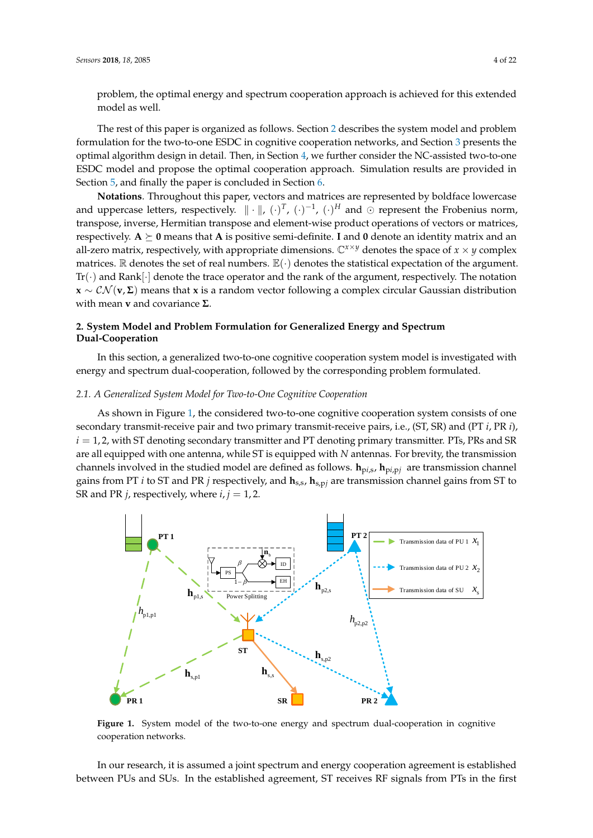problem, the optimal energy and spectrum cooperation approach is achieved for this extended model as well.

The rest of this paper is organized as follows. Section [2](#page-3-0) describes the system model and problem formulation for the two-to-one ESDC in cognitive cooperation networks, and Section [3](#page-6-0) presents the optimal algorithm design in detail. Then, in Section [4,](#page-9-0) we further consider the NC-assisted two-to-one ESDC model and propose the optimal cooperation approach. Simulation results are provided in Section [5,](#page-13-0) and finally the paper is concluded in Section [6.](#page-18-0)

**Notations**. Throughout this paper, vectors and matrices are represented by boldface lowercase and uppercase letters, respectively.  $\|\cdot\|$ ,  $(\cdot)^{T}$ ,  $(\cdot)^{-1}$ ,  $(\cdot)^{H}$  and  $\odot$  represent the Frobenius norm, transpose, inverse, Hermitian transpose and element-wise product operations of vectors or matrices, respectively.  $A \succeq 0$  means that A is positive semi-definite. I and 0 denote an identity matrix and an all-zero matrix, respectively, with appropriate dimensions.  $\mathbb{C}^{x \times y}$  denotes the space of  $x \times y$  complex matrices.  $\mathbb R$  denotes the set of real numbers.  $\mathbb E(\cdot)$  denotes the statistical expectation of the argument.  $Tr(\cdot)$  and Rank $[\cdot]$  denote the trace operator and the rank of the argument, respectively. The notation **x** ∼ CN (**v**, **Σ**) means that **x** is a random vector following a complex circular Gaussian distribution with mean **v** and covariance **Σ**.

# <span id="page-3-0"></span>**2. System Model and Problem Formulation for Generalized Energy and Spectrum Dual-Cooperation**

In this section, a generalized two-to-one cognitive cooperation system model is investigated with energy and spectrum dual-cooperation, followed by the corresponding problem formulated.

# *2.1. A Generalized System Model for Two-to-One Cognitive Cooperation*

As shown in Figure [1,](#page-3-1) the considered two-to-one cognitive cooperation system consists of one secondary transmit-receive pair and two primary transmit-receive pairs, i.e., (ST, SR) and (PT *i*, PR *i*),  $i = 1, 2$ , with ST denoting secondary transmitter and PT denoting primary transmitter. PTs, PRs and SR are all equipped with one antenna, while ST is equipped with *N* antennas. For brevity, the transmission channels involved in the studied model are defined as follows. **h**p*i*,s, **h**p*i*,p*<sup>j</sup>* are transmission channel gains from PT *i* to ST and PR *j* respectively, and **h**s,s, **h**s,p*<sup>j</sup>* are transmission channel gains from ST to SR and PR *j*, respectively, where  $i, j = 1, 2$ .

<span id="page-3-1"></span>

Figure 1. System model of the two-to-one energy and spectrum dual-cooperation in cognitive cooperation networks.

In our research, it is assumed a joint spectrum and energy cooperation agreement is established between PUs and SUs. In the established agreement, ST receives RF signals from PTs in the first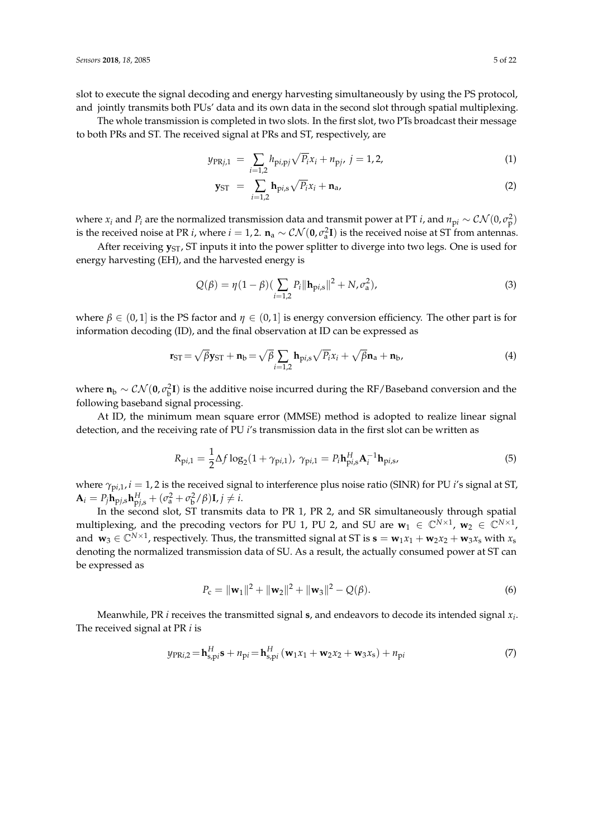slot to execute the signal decoding and energy harvesting simultaneously by using the PS protocol, and jointly transmits both PUs' data and its own data in the second slot through spatial multiplexing.

The whole transmission is completed in two slots. In the first slot, two PTs broadcast their message to both PRs and ST. The received signal at PRs and ST, respectively, are

<span id="page-4-0"></span>
$$
y_{\text{PR}j,1} = \sum_{i=1,2} h_{\text{pi},\text{p}j} \sqrt{P_i} x_i + n_{\text{p}j}, \ j = 1,2,\tag{1}
$$

$$
\mathbf{y}_{ST} = \sum_{i=1,2} \mathbf{h}_{\text{p}i,\text{s}} \sqrt{P_i} x_i + \mathbf{n}_a,
$$
 (2)

where  $x_i$  and  $P_i$  are the normalized transmission data and transmit power at PT *i*, and  $n_{pi} \sim \mathcal{CN}(0,\sigma_p^2)$ is the received noise at PR *i*, where  $i = 1, 2$ .  $\mathbf{n}_a \sim \mathcal{CN}(\mathbf{0}, \sigma_a^2 \mathbf{I})$  is the received noise at ST from antennas.

After receiving  $y_{ST}$ , ST inputs it into the power splitter to diverge into two legs. One is used for energy harvesting (EH), and the harvested energy is

<span id="page-4-2"></span>
$$
Q(\beta) = \eta (1 - \beta) (\sum_{i=1,2} P_i ||\mathbf{h}_{\text{p}i,\text{s}}||^2 + N, \sigma_a^2),
$$
\n(3)

where  $\beta \in (0,1]$  is the PS factor and  $\eta \in (0,1]$  is energy conversion efficiency. The other part is for information decoding (ID), and the final observation at ID can be expressed as

$$
\mathbf{r}_{ST} = \sqrt{\beta} \mathbf{y}_{ST} + \mathbf{n}_b = \sqrt{\beta} \sum_{i=1,2} \mathbf{h}_{pi,s} \sqrt{P_i} x_i + \sqrt{\beta} \mathbf{n}_a + \mathbf{n}_b,
$$
(4)

where  $n_b \sim \mathcal{CN}(0, \sigma_b^2 I)$  is the additive noise incurred during the RF/Baseband conversion and the following baseband signal processing.

At ID, the minimum mean square error (MMSE) method is adopted to realize linear signal detection, and the receiving rate of PU *i*'s transmission data in the first slot can be written as

<span id="page-4-1"></span>
$$
R_{\text{p}i,1} = \frac{1}{2} \Delta f \log_2(1 + \gamma_{\text{p}i,1}), \ \gamma_{\text{p}i,1} = P_i \mathbf{h}_{\text{p}i,s}^H \mathbf{A}_i^{-1} \mathbf{h}_{\text{p}i,s}, \tag{5}
$$

where  $\gamma_{pi,1}$ ,  $i = 1, 2$  is the received signal to interference plus noise ratio (SINR) for PU *i*'s signal at ST,  $\mathbf{A}_i = P_j \mathbf{h}_{\text{p}j,\text{s}} \mathbf{h}_{\text{p}j,\text{s}}^H + (\sigma_{\text{a}}^2 + \sigma_{\text{b}}^2 / \beta) \mathbf{I}, j \neq i.$ 

In the second slot, ST transmits data to PR 1, PR 2, and SR simultaneously through spatial multiplexing, and the precoding vectors for PU 1, PU 2, and SU are  $w_1 \in \mathbb{C}^{N \times 1}$ ,  $w_2 \in \mathbb{C}^{N \times 1}$ , and  $\mathbf{w}_3 \in \mathbb{C}^{N \times 1}$ , respectively. Thus, the transmitted signal at ST is  $\mathbf{s} = \mathbf{w}_1 x_1 + \mathbf{w}_2 x_2 + \mathbf{w}_3 x_8$  with  $x_8$ denoting the normalized transmission data of SU. As a result, the actually consumed power at ST can be expressed as

$$
P_{\rm c} = \|\mathbf{w}_1\|^2 + \|\mathbf{w}_2\|^2 + \|\mathbf{w}_3\|^2 - Q(\beta). \tag{6}
$$

Meanwhile, PR *i* receives the transmitted signal **s**, and endeavors to decode its intended signal *x<sup>i</sup>* . The received signal at PR *i* is

$$
y_{\text{PR}i,2} = \mathbf{h}_{\text{sp}i}^H \mathbf{s} + n_{\text{pi}} = \mathbf{h}_{\text{sp}i}^H \left( \mathbf{w}_1 x_1 + \mathbf{w}_2 x_2 + \mathbf{w}_3 x_3 \right) + n_{\text{pi}} \tag{7}
$$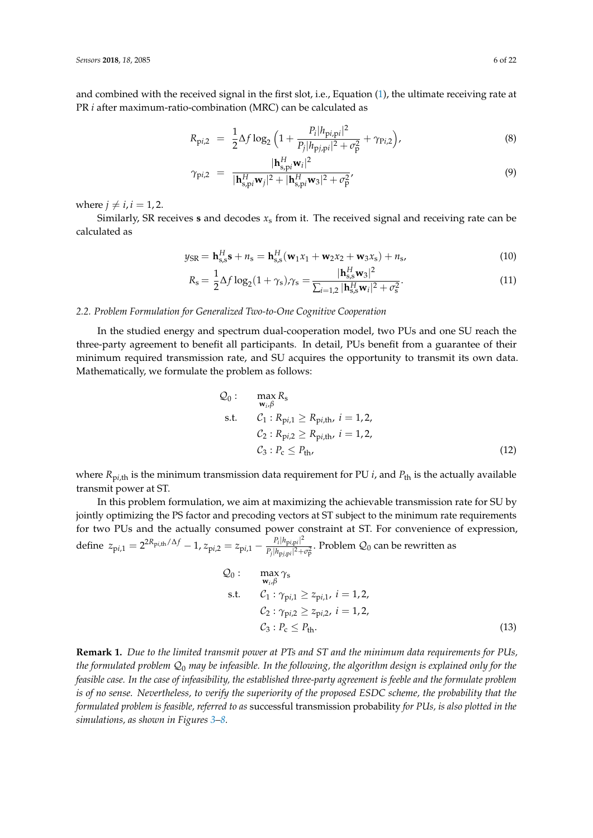and combined with the received signal in the first slot, i.e., Equation [\(1\)](#page-4-0), the ultimate receiving rate at PR *i* after maximum-ratio-combination (MRC) can be calculated as

$$
R_{\text{p}i,2} = \frac{1}{2} \Delta f \log_2 \left( 1 + \frac{P_i |h_{\text{p}i,\text{p}i}|^2}{P_j |h_{\text{p}j,\text{p}i}|^2 + \sigma_{\text{p}}^2} + \gamma_{\text{P}i,2} \right),\tag{8}
$$

$$
\gamma_{\mathbf{p}i,2} = \frac{|\mathbf{h}_{\mathbf{s},\mathbf{p}i}^H \mathbf{w}_i|^2}{|\mathbf{h}_{\mathbf{s},\mathbf{p}i}^H \mathbf{w}_j|^2 + |\mathbf{h}_{\mathbf{s},\mathbf{p}i}^H \mathbf{w}_3|^2 + \sigma_{\mathbf{p}}^2},\tag{9}
$$

where  $j \neq i$ ,  $i = 1, 2$ .

Similarly, SR receives  $s$  and decodes  $x_s$  from it. The received signal and receiving rate can be calculated as

$$
y_{\rm SR} = \mathbf{h}_{\rm s,s}^H \mathbf{s} + n_{\rm s} = \mathbf{h}_{\rm s,s}^H (\mathbf{w}_1 x_1 + \mathbf{w}_2 x_2 + \mathbf{w}_3 x_{\rm s}) + n_{\rm s},\tag{10}
$$

$$
R_{\rm s} = \frac{1}{2} \Delta f \log_2(1+\gamma_{\rm s}) \gamma_{\rm s} = \frac{|\mathbf{h}_{\rm s,s}^H \mathbf{w}_3|^2}{\sum_{i=1,2} |\mathbf{h}_{\rm s,s}^H \mathbf{w}_i|^2 + \sigma_{\rm s}^2}.
$$
(11)

# *2.2. Problem Formulation for Generalized Two-to-One Cognitive Cooperation*

In the studied energy and spectrum dual-cooperation model, two PUs and one SU reach the three-party agreement to benefit all participants. In detail, PUs benefit from a guarantee of their minimum required transmission rate, and SU acquires the opportunity to transmit its own data. Mathematically, we formulate the problem as follows:

$$
Q_0: \max_{\mathbf{w}_i, \beta} R_s
$$
  
s.t.  $C_1: R_{pi,1} \ge R_{pi,th}, i = 1,2,$   

$$
C_2: R_{pi,2} \ge R_{pi,th}, i = 1,2,
$$
  

$$
C_3: P_c \le P_{th},
$$
 (12)

where  $R_{pi,th}$  is the minimum transmission data requirement for PU *i*, and  $P_{th}$  is the actually available transmit power at ST.

In this problem formulation, we aim at maximizing the achievable transmission rate for SU by jointly optimizing the PS factor and precoding vectors at ST subject to the minimum rate requirements for two PUs and the actually consumed power constraint at ST. For convenience of expression, define  $z_{pi,1} = 2^{2R_{pi,\text{th}}/\Delta f} - 1$ ,  $z_{pi,2} = z_{pi,1} - \frac{P_i |h_{pi}|^2}{P_i |h_{min}|^2}$  $\frac{P_i|P_i(p_i)|}{P_j|h_{p_j,p_i}|^2+\sigma_p^2}$ . Problem  $\mathcal{Q}_0$  can be rewritten as

$$
Q_0: \max_{\mathbf{w}_i,\beta} \gamma_s
$$
  
s.t.  $C_1: \gamma_{pi,1} \ge z_{pi,1}, i = 1,2,$   

$$
C_2: \gamma_{pi,2} \ge z_{pi,2}, i = 1,2,
$$
  

$$
C_3: P_c \le P_{th}.
$$
 (13)

**Remark 1.** *Due to the limited transmit power at PTs and ST and the minimum data requirements for PUs, the formulated problem* Q<sup>0</sup> *may be infeasible. In the following, the algorithm design is explained only for the feasible case. In the case of infeasibility, the established three-party agreement is feeble and the formulate problem is of no sense. Nevertheless, to verify the superiority of the proposed ESDC scheme, the probability that the formulated problem is feasible, referred to as* successful transmission probability *for PUs, is also plotted in the simulations, as shown in Figures [3](#page-15-0)[–8.](#page-18-1)*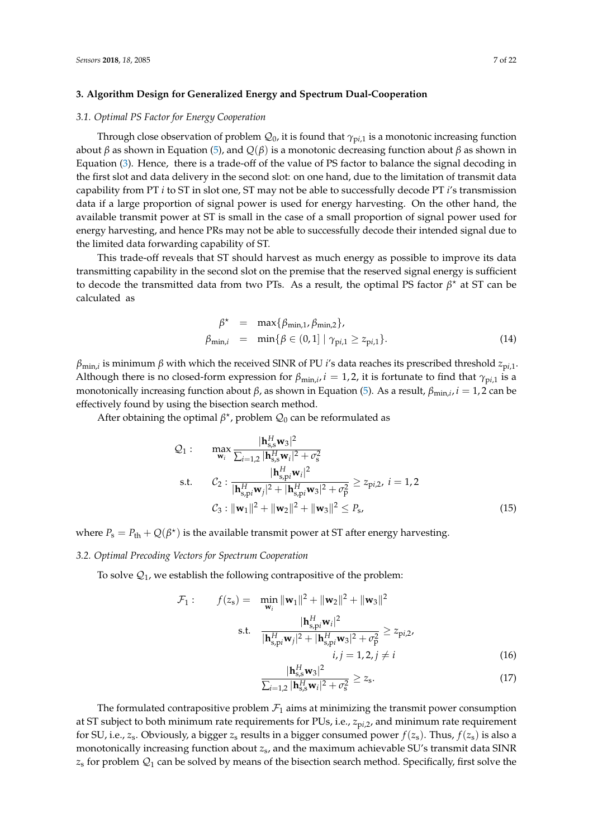# <span id="page-6-0"></span>**3. Algorithm Design for Generalized Energy and Spectrum Dual-Cooperation**

#### *3.1. Optimal PS Factor for Energy Cooperation*

Through close observation of problem  $\mathcal{Q}_0$ , it is found that  $\gamma_{pi,1}$  is a monotonic increasing function about *β* as shown in Equation [\(5\)](#page-4-1), and *Q*(*β*) is a monotonic decreasing function about *β* as shown in Equation [\(3\)](#page-4-2). Hence, there is a trade-off of the value of PS factor to balance the signal decoding in the first slot and data delivery in the second slot: on one hand, due to the limitation of transmit data capability from PT *i* to ST in slot one, ST may not be able to successfully decode PT *i*'s transmission data if a large proportion of signal power is used for energy harvesting. On the other hand, the available transmit power at ST is small in the case of a small proportion of signal power used for energy harvesting, and hence PRs may not be able to successfully decode their intended signal due to the limited data forwarding capability of ST.

This trade-off reveals that ST should harvest as much energy as possible to improve its data transmitting capability in the second slot on the premise that the reserved signal energy is sufficient to decode the transmitted data from two PTs. As a result, the optimal PS factor  $\beta^*$  at ST can be calculated as

<span id="page-6-1"></span>
$$
\beta^* = \max{\beta_{\min,1}, \beta_{\min,2}},
$$
  
\n
$$
\beta_{\min,i} = \min{\beta \in (0,1] \mid \gamma_{\text{pi},1} \ge z_{\text{pi},1}}.
$$
 (14)

*β*min,*i* is minimum *β* with which the received SINR of PU *i*'s data reaches its prescribed threshold *z*p*i*,1. Although there is no closed-form expression for  $\beta_{min,i}$ ,  $i = 1, 2$ , it is fortunate to find that  $\gamma_{pi,1}$  is a monotonically increasing function about *β*, as shown in Equation [\(5\)](#page-4-1). As a result, *β*min,*<sup>i</sup>* , *i* = 1, 2 can be effectively found by using the bisection search method.

After obtaining the optimal  $\beta^*$ , problem  $\mathcal{Q}_0$  can be reformulated as

$$
Q_{1}: \max_{\mathbf{w}_{i}} \frac{|\mathbf{h}_{s,s}^{H} \mathbf{w}_{3}|^{2}}{\sum_{i=1,2} |\mathbf{h}_{s,s}^{H} \mathbf{w}_{i}|^{2} + \sigma_{s}^{2}}
$$
  
s.t. 
$$
C_{2}: \frac{|\mathbf{h}_{s,pi}^{H} \mathbf{w}_{i}|^{2}}{|\mathbf{h}_{s,pi}^{H} \mathbf{w}_{j}|^{2} + |\mathbf{h}_{s,pi}^{H} \mathbf{w}_{3}|^{2} + \sigma_{p}^{2}} \ge z_{pi,2}, i = 1,2
$$

$$
C_{3}: ||\mathbf{w}_{1}||^{2} + ||\mathbf{w}_{2}||^{2} + ||\mathbf{w}_{3}||^{2} \le P_{s},
$$
(15)

where  $P_s = P_{th} + Q(\beta^*)$  is the available transmit power at ST after energy harvesting.

#### *3.2. Optimal Precoding Vectors for Spectrum Cooperation*

To solve  $Q_1$ , we establish the following contrapositive of the problem:

$$
\mathcal{F}_1: \qquad f(z_s) = \min_{\mathbf{w}_i} \|\mathbf{w}_1\|^2 + \|\mathbf{w}_2\|^2 + \|\mathbf{w}_3\|^2
$$
\n
$$
\text{s.t. } \frac{|\mathbf{h}_{s,pi}^H \mathbf{w}_i|^2}{|\mathbf{h}_{s,pi}^H \mathbf{w}_j|^2 + |\mathbf{h}_{s,pi}^H \mathbf{w}_3|^2 + \sigma_p^2} \ge z_{\text{pi},2},
$$
\n
$$
i, j = 1, 2, j \neq i \tag{16}
$$

$$
\frac{|\mathbf{h}_{s,s}^H \mathbf{w}_3|^2}{\sum_{i=1,2} |\mathbf{h}_{s,s}^H \mathbf{w}_i|^2 + \sigma_s^2} \ge z_s.
$$
 (17)

The formulated contrapositive problem  $\mathcal{F}_1$  aims at minimizing the transmit power consumption at ST subject to both minimum rate requirements for PUs, i.e., *z*p*i*,2, and minimum rate requirement for SU, i.e.,  $z_s$ . Obviously, a bigger  $z_s$  results in a bigger consumed power  $f(z_s)$ . Thus,  $f(z_s)$  is also a monotonically increasing function about *z*s, and the maximum achievable SU's transmit data SINR  $z_s$  for problem  $\mathcal{Q}_1$  can be solved by means of the bisection search method. Specifically, first solve the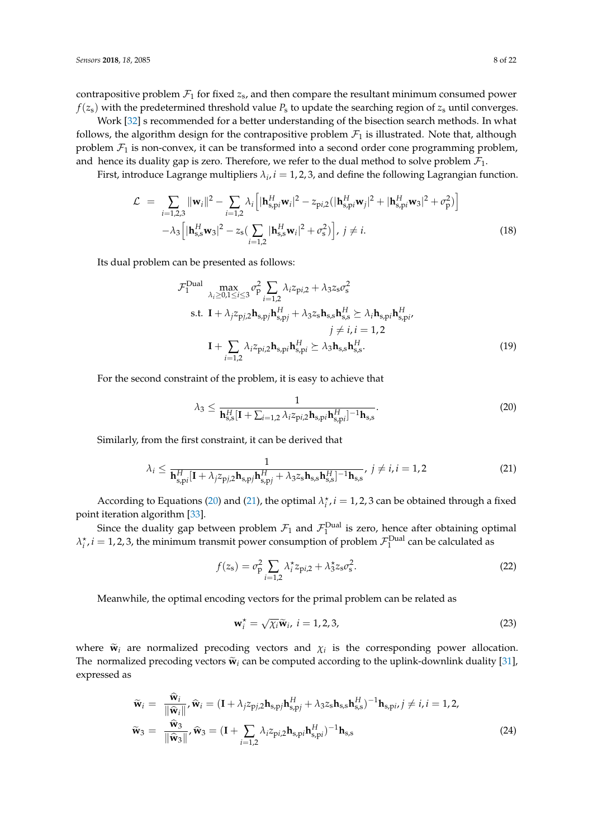contrapositive problem  $\mathcal{F}_1$  for fixed  $z_s$ , and then compare the resultant minimum consumed power  $f(z<sub>s</sub>)$  with the predetermined threshold value  $P<sub>s</sub>$  to update the searching region of  $z<sub>s</sub>$  until converges.

Work [\[32\]](#page-21-9) s recommended for a better understanding of the bisection search methods. In what follows, the algorithm design for the contrapositive problem  $\mathcal{F}_1$  is illustrated. Note that, although problem  $\mathcal{F}_1$  is non-convex, it can be transformed into a second order cone programming problem, and hence its duality gap is zero. Therefore, we refer to the dual method to solve problem  $\mathcal{F}_1$ .

First, introduce Lagrange multipliers  $\lambda_i$ ,  $i = 1, 2, 3$ , and define the following Lagrangian function.

$$
\mathcal{L} = \sum_{i=1,2,3} ||\mathbf{w}_i||^2 - \sum_{i=1,2} \lambda_i \Big[ |\mathbf{h}_{s,pi}^H \mathbf{w}_i|^2 - z_{pi,2} (|\mathbf{h}_{s,pi}^H \mathbf{w}_j|^2 + |\mathbf{h}_{s,pi}^H \mathbf{w}_3|^2 + \sigma_p^2) \Big] - \lambda_3 \Big[ |\mathbf{h}_{s,s}^H \mathbf{w}_3|^2 - z_s \big( \sum_{i=1,2} |\mathbf{h}_{s,s}^H \mathbf{w}_i|^2 + \sigma_s^2 \big) \Big], j \neq i.
$$
 (18)

Its dual problem can be presented as follows:

$$
\mathcal{F}_{1}^{\text{Dual}} \max_{\lambda_{i} \geq 0, 1 \leq i \leq 3} \sigma_{p}^{2} \sum_{i=1,2} \lambda_{i} z_{pi,2} + \lambda_{3} z_{s} \sigma_{s}^{2}
$$
  
s.t.  $\mathbf{I} + \lambda_{j} z_{pj,2} \mathbf{h}_{s,pj} \mathbf{h}_{s,pj}^{H} + \lambda_{3} z_{s} \mathbf{h}_{s,5} \mathbf{h}_{s,5}^{H} \succeq \lambda_{i} \mathbf{h}_{s,pi} \mathbf{h}_{s,pi}^{H}$   
 $j \neq i, i = 1, 2$   

$$
\mathbf{I} + \sum_{i=1,2} \lambda_{i} z_{pi,2} \mathbf{h}_{s,pi} \mathbf{h}_{s,pi}^{H} \succeq \lambda_{3} \mathbf{h}_{s,5} \mathbf{h}_{s,5}^{H}.
$$
 (19)

For the second constraint of the problem, it is easy to achieve that

<span id="page-7-0"></span>
$$
\lambda_3 \leq \frac{1}{\mathbf{h}_{\mathbf{s},\mathbf{s}}^H[\mathbf{I} + \sum_{i=1,2} \lambda_i z_{\mathbf{p}i,2} \mathbf{h}_{\mathbf{s},\mathbf{p}i} \mathbf{h}_{\mathbf{s},\mathbf{p}i}^H]^{-1} \mathbf{h}_{\mathbf{s},\mathbf{s}}}.
$$
(20)

Similarly, from the first constraint, it can be derived that

<span id="page-7-1"></span>
$$
\lambda_i \leq \frac{1}{\mathbf{h}_{s,pi}^H [\mathbf{I} + \lambda_j z_{pj,2} \mathbf{h}_{s,pi} \mathbf{h}_{s,pi}^H + \lambda_3 z_s \mathbf{h}_{s,s} \mathbf{h}_{s,s}^{H}]^{-1} \mathbf{h}_{s,s}}, \ j \neq i, i = 1, 2
$$
\n(21)

According to Equations [\(20\)](#page-7-0) and [\(21\)](#page-7-1), the optimal  $\lambda_i^*$ ,  $i = 1, 2, 3$  can be obtained through a fixed point iteration algorithm [\[33\]](#page-21-10).

Since the duality gap between problem  $\mathcal{F}_1$  and  $\mathcal{F}_1^{\text{Dual}}$  is zero, hence after obtaining optimal  $\lambda_i^{\star}$ ,  $i = 1, 2, 3$ , the minimum transmit power consumption of problem  $\mathcal{F}_1^{\text{Dual}}$  can be calculated as

<span id="page-7-2"></span>
$$
f(zs) = \sigma_{\rm p}^2 \sum_{i=1,2} \lambda_i^* z_{\rm pi,2} + \lambda_3^* z_s \sigma_s^2.
$$
 (22)

Meanwhile, the optimal encoding vectors for the primal problem can be related as

<span id="page-7-3"></span>
$$
\mathbf{w}_i^{\star} = \sqrt{\chi_i} \widetilde{\mathbf{w}}_i, \ i = 1, 2, 3,
$$
 (23)

where  $\tilde{w}_i$  are normalized precoding vectors and  $\chi_i$  is the corresponding power allocation. The normalized precoding vectors  $\tilde{\mathbf{w}}_i$  can be computed according to the uplink-downlink duality [\[31\]](#page-21-8), expressed as

$$
\widetilde{\mathbf{w}}_i = \frac{\widehat{\mathbf{w}}_i}{\|\widehat{\mathbf{w}}_i\|}, \widehat{\mathbf{w}}_i = (\mathbf{I} + \lambda_j z_{\text{p}j,2} \mathbf{h}_{\text{s,p}j} \mathbf{h}_{\text{s,p}j}^H + \lambda_3 z_{\text{s}} \mathbf{h}_{\text{s,s}} \mathbf{h}_{\text{s,s}}^H)^{-1} \mathbf{h}_{\text{s,p}i}, j \neq i, i = 1, 2,
$$
\n
$$
\widetilde{\mathbf{w}}_3 = \frac{\widehat{\mathbf{w}}_3}{\|\widehat{\mathbf{w}}_3\|}, \widehat{\mathbf{w}}_3 = (\mathbf{I} + \sum_{i=1,2} \lambda_i z_{\text{p}i,2} \mathbf{h}_{\text{s,p}i} \mathbf{h}_{\text{s,p}i}^H)^{-1} \mathbf{h}_{\text{s,s}}
$$
\n(24)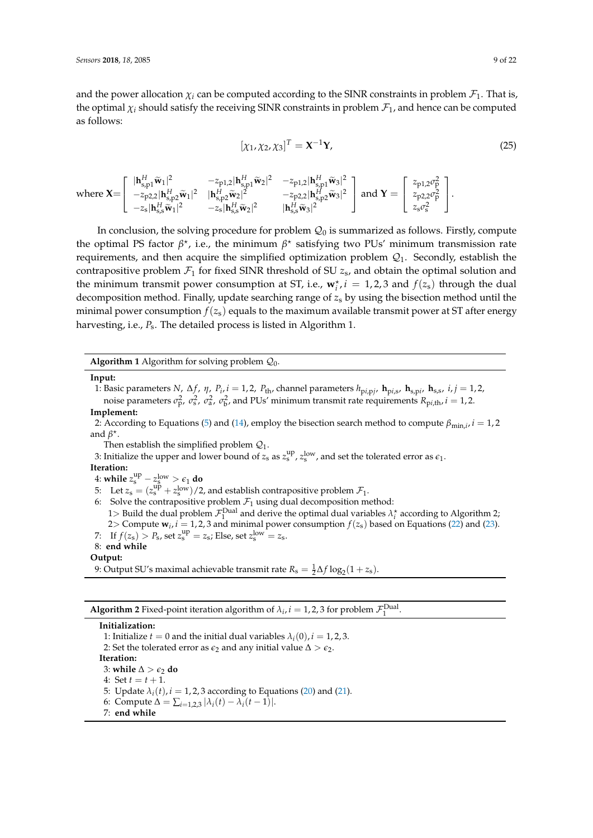and the power allocation  $\chi_i$  can be computed according to the SINR constraints in problem  $\mathcal{F}_1$ . That is, the optimal  $\chi_i$  should satisfy the receiving SINR constraints in problem  $\mathcal{F}_1$ , and hence can be computed as follows:

$$
[\chi_1, \chi_2, \chi_3]^T = \mathbf{X}^{-1} \mathbf{Y},\tag{25}
$$

$$
\text{where } \mathbf{X} \!\!=\!\! \left[\begin{array}{ccc} |\mathbf{h}_{s,p1}^H \tilde{\mathbf{w}}_1|^2 & -z_{p1,2} |\mathbf{h}_{s,p1}^H \tilde{\mathbf{w}}_2|^2 & -z_{p1,2} |\mathbf{h}_{s,p1}^H \tilde{\mathbf{w}}_3|^2 \\ -z_{p2,2} |\mathbf{h}_{s,p2}^H \tilde{\mathbf{w}}_1|^2 & |\mathbf{h}_{s,p2}^H \tilde{\mathbf{w}}_2|^2 & -z_{p2,2} |\mathbf{h}_{s,p2}^H \tilde{\mathbf{w}}_3|^2 \\ -z_{s} |\mathbf{h}_{s,s}^H \tilde{\mathbf{w}}_1|^2 & -z_{s} |\mathbf{h}_{s,s}^H \tilde{\mathbf{w}}_2|^2 & |\mathbf{h}_{s,s}^H \tilde{\mathbf{w}}_3|^2 \end{array}\right] \text{ and } \mathbf{Y} \!=\! \left[\begin{array}{c} z_{p1,2} \sigma_p^2 \\ z_{p2,2} \sigma_p^2 \\ z_{s} \sigma_s^2 \end{array}\right].
$$

In conclusion, the solving procedure for problem  $\mathcal{Q}_0$  is summarized as follows. Firstly, compute the optimal PS factor  $\beta^*$ , i.e., the minimum  $\beta^*$  satisfying two PUs' minimum transmission rate requirements, and then acquire the simplified optimization problem  $Q_1$ . Secondly, establish the contrapositive problem  $\mathcal{F}_1$  for fixed SINR threshold of SU  $z_s$ , and obtain the optimal solution and the minimum transmit power consumption at ST, i.e.,  $\mathbf{w}_i^*$ ,  $i = 1, 2, 3$  and  $f(z_s)$  through the dual decomposition method. Finally, update searching range of *z*<sup>s</sup> by using the bisection method until the minimal power consumption  $f(z<sub>s</sub>)$  equals to the maximum available transmit power at ST after energy harvesting, i.e.,  $P_s$ . The detailed process is listed in Algorithm 1.

**Algorithm 1** Algorithm for solving problem  $Q_0$ .

#### **Input:**

1: Basic parameters N,  $\Delta f$ ,  $\eta$ ,  $P_i$ ,  $i = 1, 2$ ,  $P_{th}$ , channel parameters  $h_{pi, p}$ ,  $\mathbf{h}_{pi, s}$ ,  $\mathbf{h}_{s, p}$ ,  $\mathbf{h}_{s, s}$ ,  $i, j = 1, 2$ , noise parameters  $\sigma_p^2$ ,  $\sigma_s^2$ ,  $\sigma_a^2$ ,  $\sigma_b^2$ , and PUs' minimum transmit rate requirements  $R_{pi,th}$ ,  $i = 1,2$ .

#### **Implement:**

2: According to Equations [\(5\)](#page-4-1) and [\(14\)](#page-6-1), employ the bisection search method to compute  $\beta_{\min,i}$ , *i* = 1, 2 and  $\beta^*$ .

Then establish the simplified problem  $\mathcal{Q}_1$ .

3: Initialize the upper and lower bound of  $z_s$  as  $z_s^{\text{up}}$ ,  $z_s^{\text{low}}$ , and set the tolerated error as  $\epsilon_1$ .

**Iteration:**

4: while  $z_s^{\text{up}} - z_{\text{s}}^{\text{low}} > \epsilon_1$  do

- 5: Let  $z_s = (z_s^{\text{up}} + z_s^{\text{low}})/2$ , and establish contrapositive problem  $\mathcal{F}_1$ .
- 6: Solve the contrapositive problem  $\mathcal{F}_1$  using dual decomposition method: 1 > Build the dual problem  $\mathcal{F}_1^{\text{Dual}}$  and derive the optimal dual variables  $\lambda_i^*$  according to Algorithm 2; 2> Compute  $w_i$ ,  $i = 1, 2, 3$  and minimal power consumption  $f(z_s)$  based on Equations [\(22\)](#page-7-2) and [\(23\)](#page-7-3).
- 7: If  $f(z_s) > P_s$ , set  $z_s^{up} = z_s$ ; Else, set  $z_s^{low} = z_s$ .

8: **end while**

```
Output:
```
9: Output SU's maximal achievable transmit rate  $R_s = \frac{1}{2}\Delta f \log_2(1+z_s)$ .

**Algorithm 2** Fixed-point iteration algorithm of  $\lambda_i$ ,  $i = 1, 2, 3$  for problem  $\mathcal{F}_1^{\text{Dual}}$ .

**Initialization:** 1: Initialize  $t = 0$  and the initial dual variables  $\lambda_i(0)$ ,  $i = 1, 2, 3$ . 2: Set the tolerated error as  $\epsilon_2$  and any initial value  $\Delta > \epsilon_2$ . **Iteration:** 3: **while** ∆ > *e*<sup>2</sup> **do** 4: Set  $t = t + 1$ . 5: Update  $\lambda_i(t)$ ,  $i = 1, 2, 3$  according to Equations [\(20\)](#page-7-0) and [\(21\)](#page-7-1). 6: Compute  $\Delta = \sum_{i=1,2,3} |\lambda_i(t) - \lambda_i(t-1)|$ .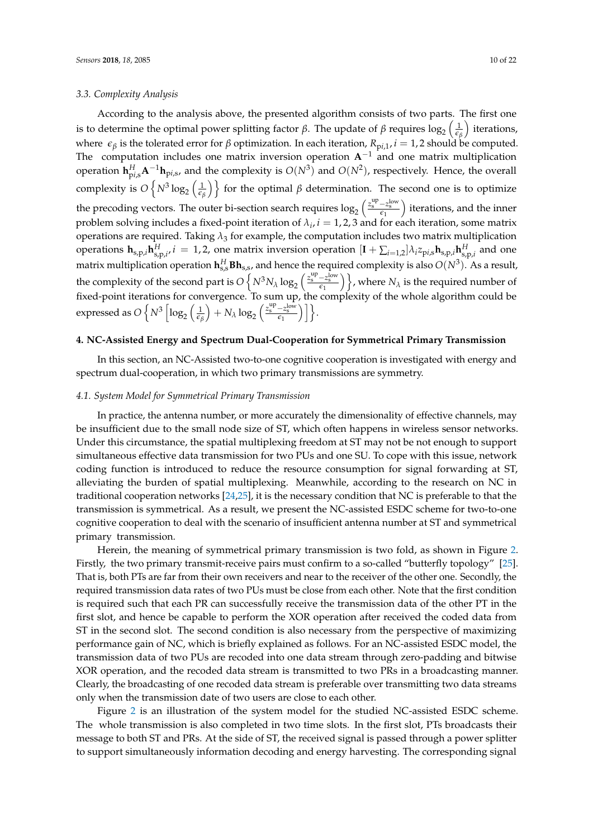#### <span id="page-9-1"></span>*3.3. Complexity Analysis*

According to the analysis above, the presented algorithm consists of two parts. The first one is to determine the optimal power splitting factor *β*. The update of *β* requires  $\log_2\left(\frac{1}{\epsilon_{\beta}}\right)$ ) iterations, where *ε*<sub>β</sub> is the tolerated error for *β* optimization. In each iteration,  $R_{pi,1}$ ,  $i = 1, 2$  should be computed. The computation includes one matrix inversion operation **A**−<sup>1</sup> and one matrix multiplication operation  $h_{pi,s}^H A^{-1}h_{pi,s}$ , and the complexity is  $O(N^3)$  and  $O(N^2)$ , respectively. Hence, the overall complexity is  $O\left\{N^3\log_2\left(\frac{1}{\epsilon_\beta}\right)\right\}$  for the optimal  $\beta$  determination. The second one is to optimize the precoding vectors. The outer bi-section search requires  $\log_2\left(\frac{z^{\text{up}}_{\text{s}}-z^{\text{low}}_{\text{s}}}{\epsilon_1}\right)$ ) iterations, and the inner problem solving includes a fixed-point iteration of  $\lambda_i$ ,  $i = 1, 2, 3$  and for each iteration, some matrix operations are required. Taking  $\lambda_3$  for example, the computation includes two matrix multiplication operations  $\mathbf{h}_{s,p,i}\mathbf{h}_{s,p,i'}^H$ ,  $i=1,2$ , one matrix inversion operation  $[\mathbf{I}+\sum_{i=1,2}]\lambda_i z_{pi,s}\mathbf{h}_{s,p,i}\mathbf{h}_{s,p,i}^H$  and one matrix multiplication operation  $\mathbf{h}_{s,s}^H \mathbf{B} \mathbf{h}_{s,s}$ , and hence the required complexity is also  $O(N^3)$ . As a result, the complexity of the second part is  $O\left\{N^3N_\lambda\log_2\left(\frac{z_8^{\rm up}-z_8^{\rm low}}{\epsilon_1}\right)\right\}$ , where  $N_\lambda$  is the required number of fixed-point iterations for convergence. To sum up, the complexity of the whole algorithm could be expressed as  $O\left\{N^3\left[\log_2\left(\frac{1}{\epsilon_\beta}\right)\right]\right\}$  $\Big)+ N_{\lambda} \log_2 \Big( \frac{z_{\rm s}^{\rm up} - z_{\rm s}^{\rm low}}{\epsilon_1} \Big) \Big] \Big\}.$ 

#### <span id="page-9-0"></span>**4. NC-Assisted Energy and Spectrum Dual-Cooperation for Symmetrical Primary Transmission**

In this section, an NC-Assisted two-to-one cognitive cooperation is investigated with energy and spectrum dual-cooperation, in which two primary transmissions are symmetry.

#### *4.1. System Model for Symmetrical Primary Transmission*

In practice, the antenna number, or more accurately the dimensionality of effective channels, may be insufficient due to the small node size of ST, which often happens in wireless sensor networks. Under this circumstance, the spatial multiplexing freedom at ST may not be not enough to support simultaneous effective data transmission for two PUs and one SU. To cope with this issue, network coding function is introduced to reduce the resource consumption for signal forwarding at ST, alleviating the burden of spatial multiplexing. Meanwhile, according to the research on NC in traditional cooperation networks [\[24](#page-21-2)[,25\]](#page-21-11), it is the necessary condition that NC is preferable to that the transmission is symmetrical. As a result, we present the NC-assisted ESDC scheme for two-to-one cognitive cooperation to deal with the scenario of insufficient antenna number at ST and symmetrical primary transmission.

Herein, the meaning of symmetrical primary transmission is two fold, as shown in Figure [2.](#page-10-0) Firstly, the two primary transmit-receive pairs must confirm to a so-called "butterfly topology" [\[25\]](#page-21-11). That is, both PTs are far from their own receivers and near to the receiver of the other one. Secondly, the required transmission data rates of two PUs must be close from each other. Note that the first condition is required such that each PR can successfully receive the transmission data of the other PT in the first slot, and hence be capable to perform the XOR operation after received the coded data from ST in the second slot. The second condition is also necessary from the perspective of maximizing performance gain of NC, which is briefly explained as follows. For an NC-assisted ESDC model, the transmission data of two PUs are recoded into one data stream through zero-padding and bitwise XOR operation, and the recoded data stream is transmitted to two PRs in a broadcasting manner. Clearly, the broadcasting of one recoded data stream is preferable over transmitting two data streams only when the transmission date of two users are close to each other.

Figure [2](#page-10-0) is an illustration of the system model for the studied NC-assisted ESDC scheme. The whole transmission is also completed in two time slots. In the first slot, PTs broadcasts their message to both ST and PRs. At the side of ST, the received signal is passed through a power splitter to support simultaneously information decoding and energy harvesting. The corresponding signal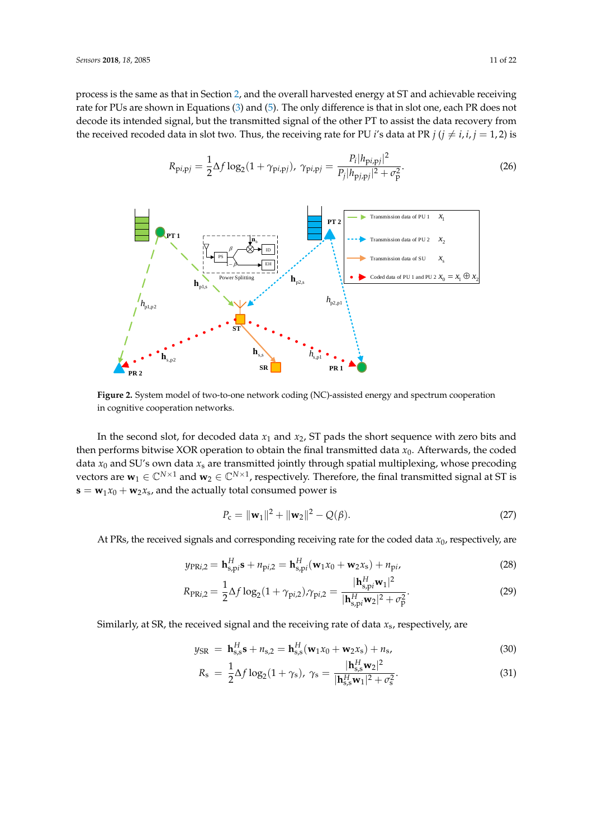process is the same as that in Section [2,](#page-3-0) and the overall harvested energy at ST and achievable receiving rate for PUs are shown in Equations [\(3\)](#page-4-2) and [\(5\)](#page-4-1). The only difference is that in slot one, each PR does not decode its intended signal, but the transmitted signal of the other PT to assist the data recovery from the received recoded data in slot two. Thus, the receiving rate for PU *i*'s data at PR *j* ( $j \neq i$ ,  $i$ ,  $j = 1, 2$ ) is

$$
R_{\text{pi},\text{p}j} = \frac{1}{2} \Delta f \log_2(1 + \gamma_{\text{pi},\text{p}j}), \ \gamma_{\text{pi},\text{p}j} = \frac{P_i |h_{\text{pi},\text{p}j}|^2}{P_j |h_{\text{pi},\text{p}j}|^2 + \sigma_{\text{p}}^2}.
$$
 (26)

<span id="page-10-0"></span>

**Figure 2.** System model of two-to-one network coding (NC)-assisted energy and spectrum cooperation in cognitive cooperation networks.

In the second slot, for decoded data  $x_1$  and  $x_2$ , ST pads the short sequence with zero bits and then performs bitwise XOR operation to obtain the final transmitted data  $x_0$ . Afterwards, the coded data  $x_0$  and SU's own data  $x_s$  are transmitted jointly through spatial multiplexing, whose precoding vectors are  $w_1\in\mathbb{C}^{N\times 1}$  and  $w_2\in\mathbb{C}^{N\times 1}$ , respectively. Therefore, the final transmitted signal at ST is  $\mathbf{s} = \mathbf{w}_1 x_0 + \mathbf{w}_2 x_s$ , and the actually total consumed power is

$$
P_{\rm c} = \|\mathbf{w}_1\|^2 + \|\mathbf{w}_2\|^2 - Q(\beta). \tag{27}
$$

At PRs, the received signals and corresponding receiving rate for the coded data  $x_0$ , respectively, are

$$
y_{\text{PR}i,2} = \mathbf{h}_{\text{s,p}i}^H \mathbf{s} + n_{\text{p}i,2} = \mathbf{h}_{\text{s,p}i}^H (\mathbf{w}_1 x_0 + \mathbf{w}_2 x_\text{s}) + n_{\text{p}i},\tag{28}
$$

$$
R_{\text{PR}i,2} = \frac{1}{2} \Delta f \log_2(1 + \gamma_{\text{pi},2}) \cdot \gamma_{\text{pi},2} = \frac{|\mathbf{h}_{\text{sp}i}^H \mathbf{w}_1|^2}{|\mathbf{h}_{\text{sp}i}^H \mathbf{w}_2|^2 + \sigma_{\text{p}}^2}.
$$
(29)

Similarly, at SR, the received signal and the receiving rate of data *x*s, respectively, are

$$
y_{\rm SR} = \mathbf{h}_{s,s}^H \mathbf{s} + n_{s,2} = \mathbf{h}_{s,s}^H (\mathbf{w}_1 x_0 + \mathbf{w}_2 x_s) + n_s,
$$
 (30)

$$
R_{\rm s} = \frac{1}{2} \Delta f \log_2(1 + \gamma_{\rm s}), \ \gamma_{\rm s} = \frac{|\mathbf{h}_{\rm s,s}^H \mathbf{w}_2|^2}{|\mathbf{h}_{\rm s,s}^H \mathbf{w}_1|^2 + \sigma_{\rm s}^2}.
$$
 (31)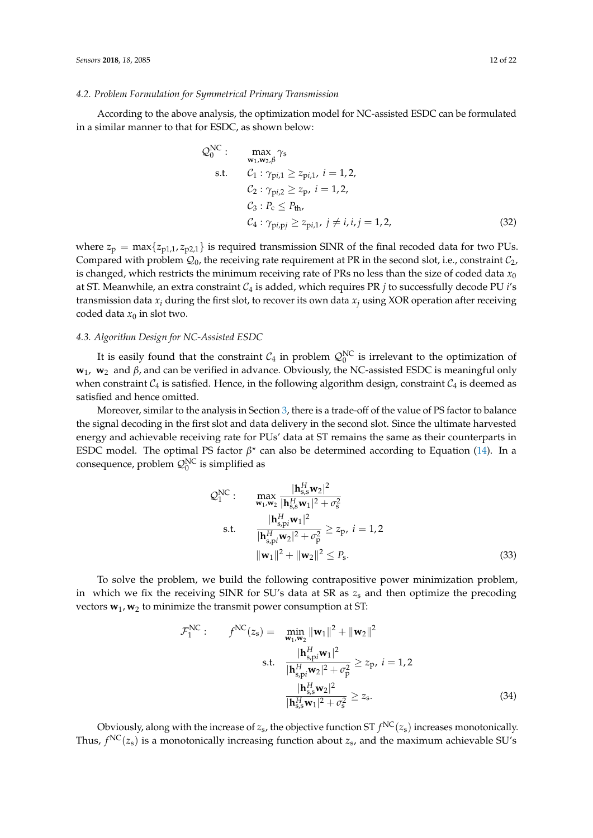According to the above analysis, the optimization model for NC-assisted ESDC can be formulated in a similar manner to that for ESDC, as shown below:

$$
Q_0^{NC}: \max_{\mathbf{w}_1, \mathbf{w}_2, \beta} \gamma_s
$$
  
s.t.  $C_1 : \gamma_{pi,1} \ge z_{pi,1}, i = 1, 2,$   
 $C_2 : \gamma_{pi,2} \ge z_p, i = 1, 2,$   
 $C_3 : P_c \le P_{th},$   
 $C_4 : \gamma_{pi,pi} \ge z_{pi,1}, j \ne i, i, j = 1, 2,$  (32)

where  $z_p = \max\{z_{p1,1}, z_{p2,1}\}\$ is required transmission SINR of the final recoded data for two PUs. Compared with problem  $Q_0$ , the receiving rate requirement at PR in the second slot, i.e., constraint  $C_2$ , is changed, which restricts the minimum receiving rate of PRs no less than the size of coded data  $x_0$ at ST. Meanwhile, an extra constraint C<sup>4</sup> is added, which requires PR *j* to successfully decode PU *i*'s transmission data  $x_i$  during the first slot, to recover its own data  $x_j$  using XOR operation after receiving coded data  $x_0$  in slot two.

#### *4.3. Algorithm Design for NC-Assisted ESDC*

It is easily found that the constraint  $C_4$  in problem  $\mathcal{Q}_0^{\text{NC}}$  is irrelevant to the optimization of **w**1, **w**<sup>2</sup> and *β*, and can be verified in advance. Obviously, the NC-assisted ESDC is meaningful only when constraint  $C_4$  is satisfied. Hence, in the following algorithm design, constraint  $C_4$  is deemed as satisfied and hence omitted.

Moreover, similar to the analysis in Section [3,](#page-6-0) there is a trade-off of the value of PS factor to balance the signal decoding in the first slot and data delivery in the second slot. Since the ultimate harvested energy and achievable receiving rate for PUs' data at ST remains the same as their counterparts in ESDC model. The optimal PS factor  $\beta^*$  can also be determined according to Equation [\(14\)](#page-6-1). In a consequence, problem  $\mathcal{Q}_0^{\text{NC}}$  is simplified as

$$
\mathcal{Q}_{1}^{NC}: \max_{\mathbf{w}_{1}, \mathbf{w}_{2}} \frac{|\mathbf{h}_{s,s}^{H} \mathbf{w}_{2}|^{2}}{|\mathbf{h}_{s,s}^{H} \mathbf{w}_{1}|^{2} + \sigma_{s}^{2}}
$$
  
s.t. 
$$
\frac{|\mathbf{h}_{s,pi}^{H} \mathbf{w}_{1}|^{2}}{|\mathbf{h}_{s,pi}^{H} \mathbf{w}_{2}|^{2} + \sigma_{p}^{2}} \ge z_{p}, i = 1, 2
$$

$$
\|\mathbf{w}_{1}\|^{2} + \|\mathbf{w}_{2}\|^{2} \le P_{s}.
$$
(33)

To solve the problem, we build the following contrapositive power minimization problem, in which we fix the receiving SINR for SU's data at SR as  $z_s$  and then optimize the precoding vectors  $w_1$ ,  $w_2$  to minimize the transmit power consumption at ST:

$$
\mathcal{F}_1^{\text{NC}}: \qquad f^{\text{NC}}(z_s) = \min_{\mathbf{w}_1, \mathbf{w}_2} ||\mathbf{w}_1||^2 + ||\mathbf{w}_2||^2
$$
\ns.t. 
$$
\frac{|\mathbf{h}_{s,pi}^H \mathbf{w}_1|^2}{|\mathbf{h}_{s,pi}^H \mathbf{w}_2|^2 + \sigma_p^2} \ge z_p, \ i = 1, 2
$$
\n
$$
\frac{|\mathbf{h}_{s,s}^H \mathbf{w}_2|^2}{|\mathbf{h}_{s,s}^H \mathbf{w}_1|^2 + \sigma_s^2} \ge z_s.
$$
\n(34)

Obviously, along with the increase of  $z_s$ , the objective function ST  $f^{\rm NC}(z_s)$  increases monotonically. Thus, *f* NC(*z*s) is a monotonically increasing function about *z*s, and the maximum achievable SU's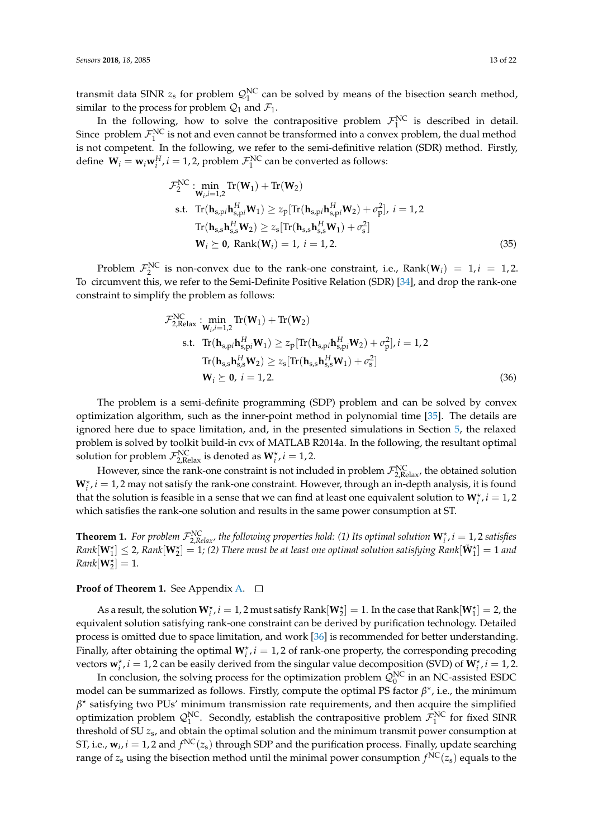In the following, how to solve the contrapositive problem  $\mathcal{F}_1^{\text{NC}}$  is described in detail. Since problem  $\mathcal{F}_1^{\text{NC}}$  is not and even cannot be transformed into a convex problem, the dual method is not competent. In the following, we refer to the semi-definitive relation (SDR) method. Firstly, define  $W_i = w_i w_i^H$ ,  $i = 1, 2$ , problem  $\mathcal{F}_1^{\text{NC}}$  can be converted as follows:

$$
\mathcal{F}_{2}^{NC}: \min_{\mathbf{W}_{i}, i=1,2} \text{Tr}(\mathbf{W}_{1}) + \text{Tr}(\mathbf{W}_{2})
$$
\ns.t.  $\text{Tr}(\mathbf{h}_{s,pi}\mathbf{h}_{s,pi}^{H}\mathbf{W}_{1}) \ge z_{p}[\text{Tr}(\mathbf{h}_{s,pi}\mathbf{h}_{s,pi}^{H}\mathbf{W}_{2}) + \sigma_{p}^{2}], i = 1,2$   
\n $\text{Tr}(\mathbf{h}_{s,s}\mathbf{h}_{s,s}^{H}\mathbf{W}_{2}) \ge z_{s}[\text{Tr}(\mathbf{h}_{s,s}\mathbf{h}_{s,s}^{H}\mathbf{W}_{1}) + \sigma_{s}^{2}]$   
\n $\mathbf{W}_{i} \succeq \mathbf{0}, \text{ Rank}(\mathbf{W}_{i}) = 1, i = 1,2.$  (35)

Problem  $\mathcal{F}_2^{\text{NC}}$  is non-convex due to the rank-one constraint, i.e.,  $\text{Rank}(\mathbf{W}_i) = 1, i = 1, 2$ . To circumvent this, we refer to the Semi-Definite Positive Relation (SDR) [\[34\]](#page-21-12), and drop the rank-one constraint to simplify the problem as follows:

$$
\mathcal{F}_{2,\text{Relax}}^{\text{NC}} : \min_{\mathbf{W}_{i}, i=1,2} \text{Tr}(\mathbf{W}_{1}) + \text{Tr}(\mathbf{W}_{2})
$$
\ns.t. 
$$
\text{Tr}(\mathbf{h}_{s,pi}\mathbf{h}_{s,pi}^{H}\mathbf{W}_{1}) \ge z_{p}[\text{Tr}(\mathbf{h}_{s,pi}\mathbf{h}_{s,pi}^{H}\mathbf{W}_{2}) + \sigma_{p}^{2}], i = 1,2
$$
\n
$$
\text{Tr}(\mathbf{h}_{s,s}\mathbf{h}_{s,s}^{H}\mathbf{W}_{2}) \ge z_{s}[\text{Tr}(\mathbf{h}_{s,s}\mathbf{h}_{s,s}^{H}\mathbf{W}_{1}) + \sigma_{s}^{2}]
$$
\n
$$
\mathbf{W}_{i} \succeq \mathbf{0}, i = 1,2.
$$
\n(36)

The problem is a semi-definite programming (SDP) problem and can be solved by convex optimization algorithm, such as the inner-point method in polynomial time [\[35\]](#page-21-13). The details are ignored here due to space limitation, and, in the presented simulations in Section [5,](#page-13-0) the relaxed problem is solved by toolkit build-in cvx of MATLAB R2014a. In the following, the resultant optimal solution for problem  $\mathcal{F}_{2,\text{Relax}}^{\text{NC}}$  is denoted as  $\mathbf{W}_{i}^{*}$ ,  $i = 1, 2$ .

However, since the rank-one constraint is not included in problem  $\mathcal{F}_{2,\text{Relax}}^{\text{NC}}$ , the obtained solution  $W_i^{\star}$ ,  $i = 1, 2$  may not satisfy the rank-one constraint. However, through an in-depth analysis, it is found that the solution is feasible in a sense that we can find at least one equivalent solution to  $W_i^*$ ,  $i = 1, 2$ which satisfies the rank-one solution and results in the same power consumption at ST.

<span id="page-12-0"></span>**Theorem 1.** For problem  $\mathcal{F}_{2,Relax}^{NC}$ , the following properties hold: (1) Its optimal solution  $W_i^{\star}$ ,  $i = 1,2$  satisfies  $Rank[\mathbf{W}_1^\star]\leq$  2,  $Rank[\mathbf{W}_2^\star]=1$ ; (2) There must be at least one optimal solution satisfying Rank $[\tilde{\mathbf{W}}_1^\star]=1$  and  $Rank[\mathbf{W}_2^{\star}] = 1.$ 

#### **Proof of Theorem 1.** See Appendix **A**. □

As a result, the solution  $W_i^{\star}$ ,  $i=1,2$  must satisfy Rank $[W_2^{\star}]=1$ . In the case that Rank $[W_1^{\star}]=2$ , the equivalent solution satisfying rank-one constraint can be derived by purification technology. Detailed process is omitted due to space limitation, and work [\[36\]](#page-21-14) is recommended for better understanding. Finally, after obtaining the optimal  $W_i^*$ ,  $i = 1, 2$  of rank-one property, the corresponding precoding vectors  $\mathbf{w}_i^*$ ,  $i = 1, 2$  can be easily derived from the singular value decomposition (SVD) of  $\mathbf{W}_i^*$ ,  $i = 1, 2$ .

In conclusion, the solving process for the optimization problem  $\mathcal{Q}_0^{\text{NC}}$  in an NC-assisted ESDC model can be summarized as follows. Firstly, compute the optimal PS factor  $\beta^*$ , i.e., the minimum *β* ? satisfying two PUs' minimum transmission rate requirements, and then acquire the simplified optimization problem  $\mathcal{Q}_1^{\text{NC}}$ . Secondly, establish the contrapositive problem  $\mathcal{F}_1^{\text{NC}}$  for fixed SINR threshold of SU *z*s, and obtain the optimal solution and the minimum transmit power consumption at ST, i.e.,  $w_i$ ,  $i = 1$ , 2 and  $f^{\text{NC}}(z_s)$  through SDP and the purification process. Finally, update searching range of *z*<sup>s</sup> using the bisection method until the minimal power consumption *f* NC(*z*s) equals to the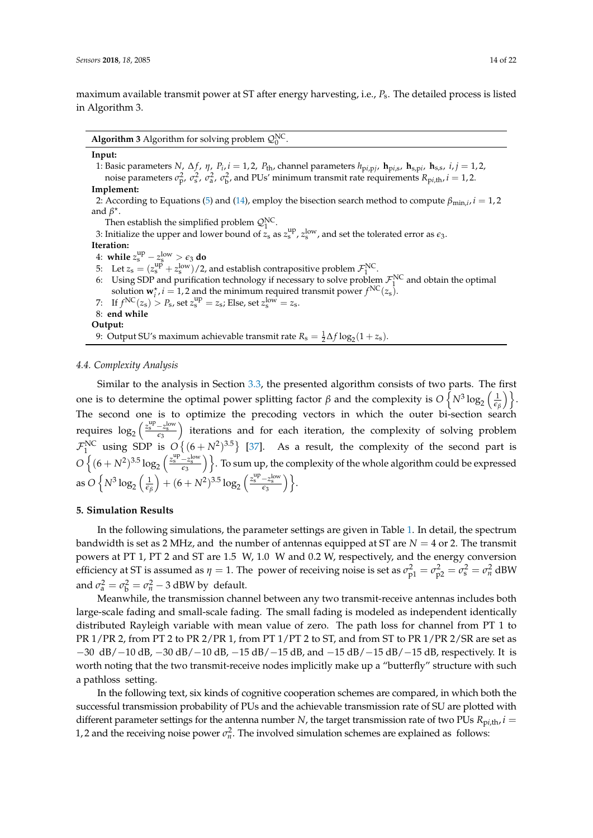maximum available transmit power at ST after energy harvesting, i.e., *P*s. The detailed process is listed in Algorithm 3.

**Algorithm 3** Algorithm for solving problem  $Q_0^{\text{NC}}$ .

#### **Input:**

1: Basic parameters N,  $\Delta f$ ,  $\eta$ ,  $P_i$ ,  $i = 1, 2$ ,  $P_{th}$ , channel parameters  $h_{pi, p}$ ,  $\bf{h}_{pi, s}$ ,  $\bf{h}_{s, pi}$ ,  $\bf{h}_{s, s}$ ,  $i, j = 1, 2$ , noise parameters  $\sigma_p^2$ ,  $\sigma_s^2$ ,  $\sigma_a^2$ ,  $\sigma_b^2$ , and PUs' minimum transmit rate requirements  $R_{pi,th}$ ,  $i = 1,2$ . **Implement:**

2: According to Equations [\(5\)](#page-4-1) and [\(14\)](#page-6-1), employ the bisection search method to compute  $\beta_{\min,i}$ ,  $i = 1, 2$ and  $\beta^*$ .

Then establish the simplified problem  $\mathcal{Q}_1^{\text{NC}}$ .

3: Initialize the upper and lower bound of  $\frac{1}{2s}$  as  $z_s^{up}$ ,  $z_s^{low}$ , and set the tolerated error as  $\epsilon_3$ . **Iteration:** 4: while  $z_s^{\text{up}} - z_s^{\text{low}} > \epsilon_3$  do

5: Let  $z_s = (z_s^{\text{up}} + z_s^{\text{low}})/2$ , and establish contrapositive problem  $\mathcal{F}_1^{\text{NC}}$ .

6: Using SDP and purification technology if necessary to solve problem  $\mathcal{F}_1^{\text{NC}}$  and obtain the optimal solution  $\mathbf{w}_i^*, i = 1, 2$  and the minimum required transmit power  $f^{\text{NC}}(z_s)$ . 7: If  $f^{\text{NC}}(z_s) > P_s$ , set  $z_s^{\text{up}} = z_s$ ; Else, set  $z_s^{\text{low}} = z_s$ . 8: **end while**

9: Output SU's maximum achievable transmit rate  $R_s = \frac{1}{2}\Delta f \log_2(1+z_s)$ .

#### *4.4. Complexity Analysis*

Similar to the analysis in Section [3.3,](#page-9-1) the presented algorithm consists of two parts. The first one is to determine the optimal power splitting factor *β* and the complexity is  $O\left\{N^3\log_2\left(\frac{1}{\epsilon_\beta}\right)\right\}$ . The second one is to optimize the precoding vectors in which the outer bi-section search requires  $\log_2\left(\frac{z_s^{\text{up}} - z_s^{\text{low}}}{\epsilon_3}\right)$ ) iterations and for each iteration, the complexity of solving problem  $\mathcal{F}_1^{\text{NC}}$  using SDP is  $O\{(6+N^2)^{3.5}\}\$  [\[37\]](#page-21-15). As a result, the complexity of the second part is  $O\left\{(6+N^2)^{3.5}\log_2\left(\frac{z_\text{s}^{\text{up}}-z_\text{s}^{\text{low}}}{\epsilon_3}\right)\right\}$ . To sum up, the complexity of the whole algorithm could be expressed as  $O\left\{N^3\log_2\left(\frac{1}{\epsilon_\beta}\right) \right\}$  $+ (6+N^2)^{3.5} \log_2 \left( \frac{z_s^{\text{up}} - z_s^{\text{low}}}{\epsilon_3} \right) \Big\}.$ 

# <span id="page-13-0"></span>**5. Simulation Results**

In the following simulations, the parameter settings are given in Table [1.](#page-14-0) In detail, the spectrum bandwidth is set as 2 MHz, and the number of antennas equipped at ST are  $N = 4$  or 2. The transmit powers at PT 1, PT 2 and ST are 1.5 W, 1.0 W and 0.2 W, respectively, and the energy conversion efficiency at ST is assumed as  $\eta = 1$ . The power of receiving noise is set as  $\sigma_{p1}^2 = \sigma_{p2}^2 = \sigma_s^2 = \sigma_n^2$  dBW and  $\sigma_a^2 = \sigma_b^2 = \sigma_n^2 - 3$  dBW by default.

Meanwhile, the transmission channel between any two transmit-receive antennas includes both large-scale fading and small-scale fading. The small fading is modeled as independent identically distributed Rayleigh variable with mean value of zero. The path loss for channel from PT 1 to PR 1/PR 2, from PT 2 to PR 2/PR 1, from PT 1/PT 2 to ST, and from ST to PR 1/PR 2/SR are set as −30 dB/−10 dB, −30 dB/−10 dB, −15 dB/−15 dB, and −15 dB/−15 dB/−15 dB, respectively. It is worth noting that the two transmit-receive nodes implicitly make up a "butterfly" structure with such a pathloss setting.

In the following text, six kinds of cognitive cooperation schemes are compared, in which both the successful transmission probability of PUs and the achievable transmission rate of SU are plotted with different parameter settings for the antenna number *N*, the target transmission rate of two PUs  $R_{pi,th}$ ,  $i =$ 1, 2 and the receiving noise power  $\sigma_n^2$ . The involved simulation schemes are explained as follows:

**Output:**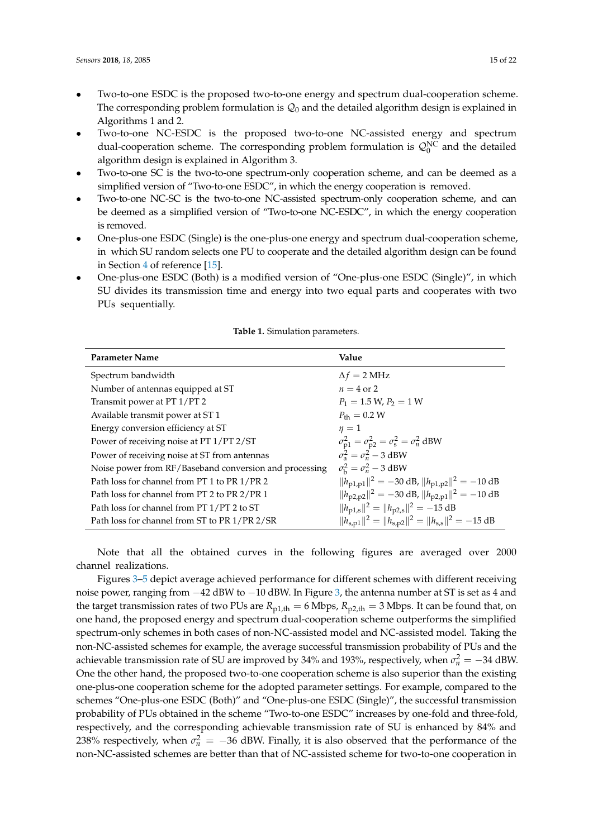- Two-to-one ESDC is the proposed two-to-one energy and spectrum dual-cooperation scheme. The corresponding problem formulation is  $\mathcal{Q}_0$  and the detailed algorithm design is explained in Algorithms 1 and 2.
- Two-to-one NC-ESDC is the proposed two-to-one NC-assisted energy and spectrum dual-cooperation scheme. The corresponding problem formulation is  $\mathcal{Q}_0^{\text{NC}}$  and the detailed algorithm design is explained in Algorithm 3.
- Two-to-one SC is the two-to-one spectrum-only cooperation scheme, and can be deemed as a simplified version of "Two-to-one ESDC", in which the energy cooperation is removed.
- Two-to-one NC-SC is the two-to-one NC-assisted spectrum-only cooperation scheme, and can be deemed as a simplified version of "Two-to-one NC-ESDC", in which the energy cooperation is removed.
- One-plus-one ESDC (Single) is the one-plus-one energy and spectrum dual-cooperation scheme, in which SU random selects one PU to cooperate and the detailed algorithm design can be found in Section [4](#page-9-0) of reference [\[15\]](#page-20-12).
- One-plus-one ESDC (Both) is a modified version of "One-plus-one ESDC (Single)", in which SU divides its transmission time and energy into two equal parts and cooperates with two PUs sequentially.

<span id="page-14-0"></span>

| <b>Parameter Name</b>                                  | Value                                                               |
|--------------------------------------------------------|---------------------------------------------------------------------|
| Spectrum bandwidth                                     | $\Delta f = 2 \text{ MHz}$                                          |
| Number of antennas equipped at ST                      | $n = 4$ or 2                                                        |
| Transmit power at PT 1/PT 2                            | $P_1 = 1.5 \text{ W}, P_2 = 1 \text{ W}$                            |
| Available transmit power at ST 1                       | $P_{\text{th}} = 0.2 \text{ W}$                                     |
| Energy conversion efficiency at ST                     | $\eta=1$                                                            |
| Power of receiving noise at PT 1/PT 2/ST               | $\sigma_{p1}^2 = \sigma_{p2}^2 = \sigma_{s1}^2 = \sigma_{n1}^2$ dBW |
| Power of receiving noise at ST from antennas           | $\sigma_2^2 = \sigma_{\eta}^2 - 3$ dBW                              |
| Noise power from RF/Baseband conversion and processing | $\sigma_{\rm b}^2 = \sigma_{\rm n}^2 - 3$ dBW                       |
| Path loss for channel from PT 1 to PR 1/PR 2           | $  h_{p1,p1}  ^2 = -30$ dB, $  h_{p1,p2}  ^2 = -10$ dB              |
| Path loss for channel from PT 2 to PR 2/PR 1           | $  h_{p2,p2}  ^2 = -30$ dB, $  h_{p2,p1}  ^2 = -10$ dB              |
| Path loss for channel from PT 1/PT 2 to ST             | $  h_{p1,s}  ^2 =   h_{p2,s}  ^2 = -15 dB$                          |
| Path loss for channel from ST to PR 1/PR 2/SR          | $  h_{s,p1}  ^2 =   h_{s,p2}  ^2 =   h_{s,s}  ^2 = -15$ dB          |

**Table 1.** Simulation parameters.

Note that all the obtained curves in the following figures are averaged over 2000 channel realizations.

Figures [3](#page-15-0)[–5](#page-16-0) depict average achieved performance for different schemes with different receiving noise power, ranging from −42 dBW to −10 dBW. In Figure [3,](#page-15-0) the antenna number at ST is set as 4 and the target transmission rates of two PUs are  $R_{p1,th} = 6$  Mbps,  $R_{p2,th} = 3$  Mbps. It can be found that, on one hand, the proposed energy and spectrum dual-cooperation scheme outperforms the simplified spectrum-only schemes in both cases of non-NC-assisted model and NC-assisted model. Taking the non-NC-assisted schemes for example, the average successful transmission probability of PUs and the achievable transmission rate of SU are improved by 34% and 193%, respectively, when  $\sigma_n^2 = -34$  dBW. One the other hand, the proposed two-to-one cooperation scheme is also superior than the existing one-plus-one cooperation scheme for the adopted parameter settings. For example, compared to the schemes "One-plus-one ESDC (Both)" and "One-plus-one ESDC (Single)", the successful transmission probability of PUs obtained in the scheme "Two-to-one ESDC" increases by one-fold and three-fold, respectively, and the corresponding achievable transmission rate of SU is enhanced by 84% and 238% respectively, when  $\sigma_n^2 = -36$  dBW. Finally, it is also observed that the performance of the non-NC-assisted schemes are better than that of NC-assisted scheme for two-to-one cooperation in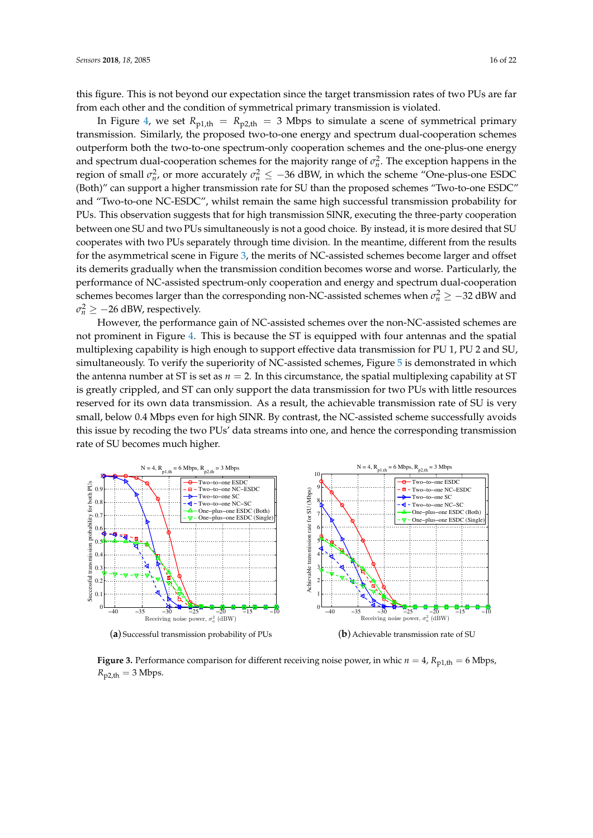this figure. This is not beyond our expectation since the target transmission rates of two PUs are far from each other and the condition of symmetrical primary transmission is violated.

In Figure [4,](#page-16-1) we set  $R_{p1,th} = R_{p2,th} = 3$  Mbps to simulate a scene of symmetrical primary transmission. Similarly, the proposed two-to-one energy and spectrum dual-cooperation schemes outperform both the two-to-one spectrum-only cooperation schemes and the one-plus-one energy and spectrum dual-cooperation schemes for the majority range of  $\sigma_n^2$ . The exception happens in the region of small  $\sigma_n^2$ , or more accurately  $\sigma_n^2 \le -36$  dBW, in which the scheme "One-plus-one ESDC (Both)" can support a higher transmission rate for SU than the proposed schemes "Two-to-one ESDC" and "Two-to-one NC-ESDC", whilst remain the same high successful transmission probability for PUs. This observation suggests that for high transmission SINR, executing the three-party cooperation between one SU and two PUs simultaneously is not a good choice. By instead, it is more desired that SU cooperates with two PUs separately through time division. In the meantime, different from the results for the asymmetrical scene in Figure [3,](#page-15-0) the merits of NC-assisted schemes become larger and offset its demerits gradually when the transmission condition becomes worse and worse. Particularly, the performance of NC-assisted spectrum-only cooperation and energy and spectrum dual-cooperation schemes becomes larger than the corresponding non-NC-assisted schemes when  $\sigma_n^2 \ge -32$  dBW and  $\sigma_n^2 \ge -26$  dBW, respectively.

However, the performance gain of NC-assisted schemes over the non-NC-assisted schemes are not prominent in Figure [4.](#page-16-1) This is because the ST is equipped with four antennas and the spatial multiplexing capability is high enough to support effective data transmission for PU 1, PU 2 and SU, simultaneously. To verify the superiority of NC-assisted schemes, Figure [5](#page-16-0) is demonstrated in which the antenna number at ST is set as  $n = 2$ . In this circumstance, the spatial multiplexing capability at ST is greatly crippled, and ST can only support the data transmission for two PUs with little resources reserved for its own data transmission. As a result, the achievable transmission rate of SU is very small, below 0.4 Mbps even for high SINR. By contrast, the NC-assisted scheme successfully avoids this issue by recoding the two PUs' data streams into one, and hence the corresponding transmission rate of SU becomes much higher.

<span id="page-15-0"></span>

**Figure 3.** Performance comparison for different receiving noise power, in whic  $n = 4$ ,  $R_{p1,th} = 6$  Mbps,  $R_{p2,th} = 3$  Mbps.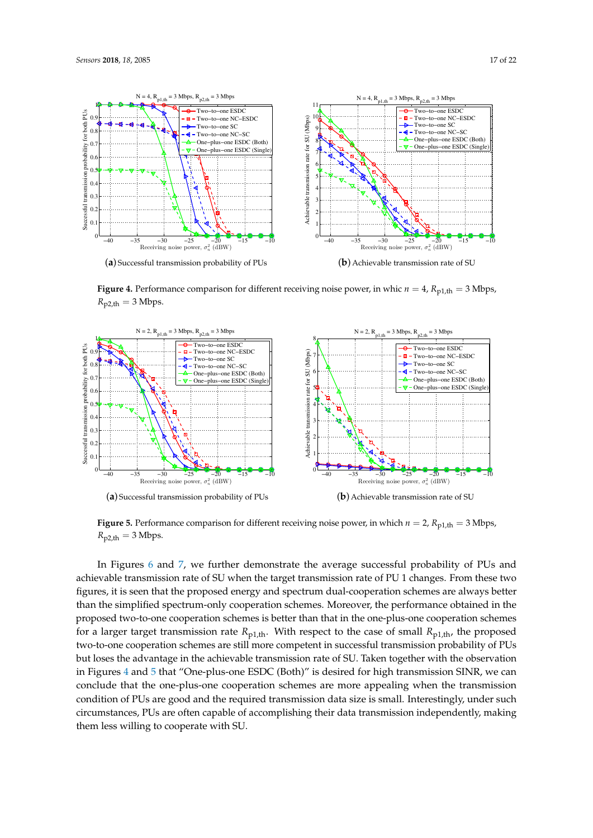<span id="page-16-1"></span>

**Figure 4.** Performance comparison for different receiving noise power, in whic  $n = 4$ ,  $R_{p1,th} = 3$  Mbps,  $R_{p2,th} = 3$  Mbps.

<span id="page-16-0"></span>

**Figure 5.** Performance comparison for different receiving noise power, in which  $n = 2$ ,  $R_{p1,th} = 3$  Mbps,  $R_{\text{p2,th}} = 3 \text{ Mbps}.$ 

In Figures [6](#page-17-0) and [7,](#page-17-1) we further demonstrate the average successful probability of PUs and achievable transmission rate of SU when the target transmission rate of PU 1 changes. From these two figures, it is seen that the proposed energy and spectrum dual-cooperation schemes are always better than the simplified spectrum-only cooperation schemes. Moreover, the performance obtained in the proposed two-to-one cooperation schemes is better than that in the one-plus-one cooperation schemes for a larger target transmission rate  $R_{p1,th}$ . With respect to the case of small  $R_{p1,th}$ , the proposed two-to-one cooperation schemes are still more competent in successful transmission probability of PUs but loses the advantage in the achievable transmission rate of SU. Taken together with the observation in Figures [4](#page-16-1) and [5](#page-16-0) that "One-plus-one ESDC (Both)" is desired for high transmission SINR, we can conclude that the one-plus-one cooperation schemes are more appealing when the transmission condition of PUs are good and the required transmission data size is small. Interestingly, under such circumstances, PUs are often capable of accomplishing their data transmission independently, making them less willing to cooperate with SU.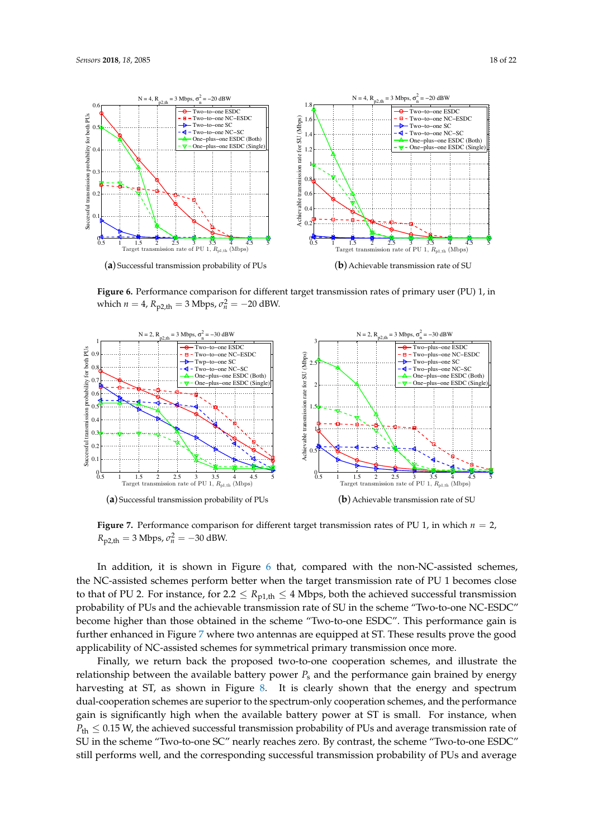<span id="page-17-0"></span>

**Figure 6.** Performance comparison for different target transmission rates of primary user (PU) 1, in which  $n = 4$ ,  $R_{p2,th} = 3$  Mbps,  $\sigma_n^2 = -20$  dBW.

<span id="page-17-1"></span>

**Figure 7.** Performance comparison for different target transmission rates of PU 1, in which *n* = 2,  $R_{\text{p2,th}} = 3 \text{ Mbps}, \sigma_n^2 = -30 \text{ dBW}.$ 

In addition, it is shown in Figure [6](#page-17-0) that, compared with the non-NC-assisted schemes, the NC-assisted schemes perform better when the target transmission rate of PU 1 becomes close to that of PU 2. For instance, for  $2.2 \le R_{p1,th} \le 4$  Mbps, both the achieved successful transmission probability of PUs and the achievable transmission rate of SU in the scheme "Two-to-one NC-ESDC" become higher than those obtained in the scheme "Two-to-one ESDC". This performance gain is further enhanced in Figure [7](#page-17-1) where two antennas are equipped at ST. These results prove the good applicability of NC-assisted schemes for symmetrical primary transmission once more.

Finally, we return back the proposed two-to-one cooperation schemes, and illustrate the relationship between the available battery power *P*<sup>s</sup> and the performance gain brained by energy harvesting at ST, as shown in Figure [8.](#page-18-1) It is clearly shown that the energy and spectrum dual-cooperation schemes are superior to the spectrum-only cooperation schemes, and the performance gain is significantly high when the available battery power at ST is small. For instance, when  $P_{\text{th}} \leq 0.15$  W, the achieved successful transmission probability of PUs and average transmission rate of SU in the scheme "Two-to-one SC" nearly reaches zero. By contrast, the scheme "Two-to-one ESDC" still performs well, and the corresponding successful transmission probability of PUs and average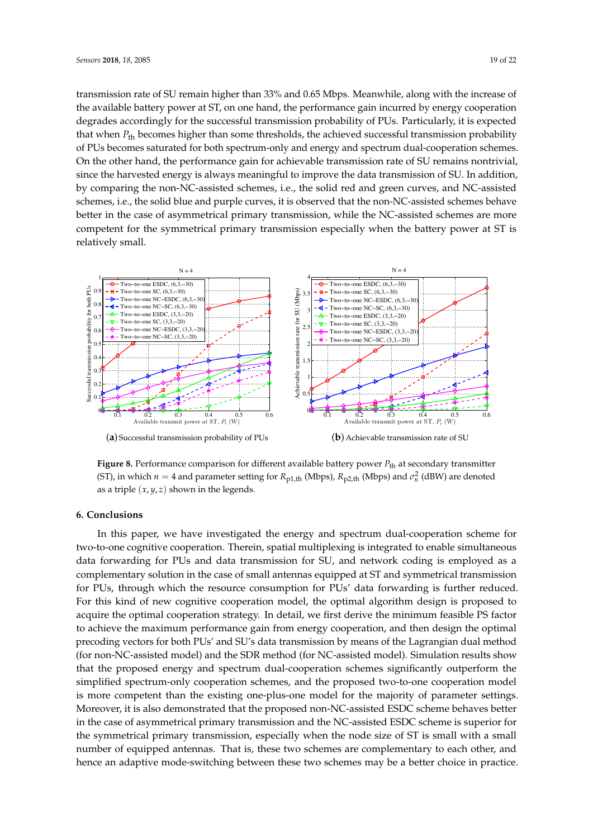transmission rate of SU remain higher than 33% and 0.65 Mbps. Meanwhile, along with the increase of the available battery power at ST, on one hand, the performance gain incurred by energy cooperation degrades accordingly for the successful transmission probability of PUs. Particularly, it is expected that when *P*th becomes higher than some thresholds, the achieved successful transmission probability of PUs becomes saturated for both spectrum-only and energy and spectrum dual-cooperation schemes. On the other hand, the performance gain for achievable transmission rate of SU remains nontrivial, since the harvested energy is always meaningful to improve the data transmission of SU. In addition, by comparing the non-NC-assisted schemes, i.e., the solid red and green curves, and NC-assisted schemes, i.e., the solid blue and purple curves, it is observed that the non-NC-assisted schemes behave better in the case of asymmetrical primary transmission, while the NC-assisted schemes are more competent for the symmetrical primary transmission especially when the battery power at ST is relatively small.

<span id="page-18-1"></span>

**Figure 8.** Performance comparison for different available battery power  $P_{\text{th}}$  at secondary transmitter (ST), in which  $n = 4$  and parameter setting for  $R_{p1,th}$  (Mbps),  $R_{p2,th}$  (Mbps) and  $\sigma_n^2$  (dBW) are denoted as a triple  $(x, y, z)$  shown in the legends.

# <span id="page-18-0"></span>**6. Conclusions**

In this paper, we have investigated the energy and spectrum dual-cooperation scheme for two-to-one cognitive cooperation. Therein, spatial multiplexing is integrated to enable simultaneous data forwarding for PUs and data transmission for SU, and network coding is employed as a complementary solution in the case of small antennas equipped at ST and symmetrical transmission for PUs, through which the resource consumption for PUs' data forwarding is further reduced. For this kind of new cognitive cooperation model, the optimal algorithm design is proposed to acquire the optimal cooperation strategy. In detail, we first derive the minimum feasible PS factor to achieve the maximum performance gain from energy cooperation, and then design the optimal precoding vectors for both PUs' and SU's data transmission by means of the Lagrangian dual method (for non-NC-assisted model) and the SDR method (for NC-assisted model). Simulation results show that the proposed energy and spectrum dual-cooperation schemes significantly outperform the simplified spectrum-only cooperation schemes, and the proposed two-to-one cooperation model is more competent than the existing one-plus-one model for the majority of parameter settings. Moreover, it is also demonstrated that the proposed non-NC-assisted ESDC scheme behaves better in the case of asymmetrical primary transmission and the NC-assisted ESDC scheme is superior for the symmetrical primary transmission, especially when the node size of ST is small with a small number of equipped antennas. That is, these two schemes are complementary to each other, and hence an adaptive mode-switching between these two schemes may be a better choice in practice.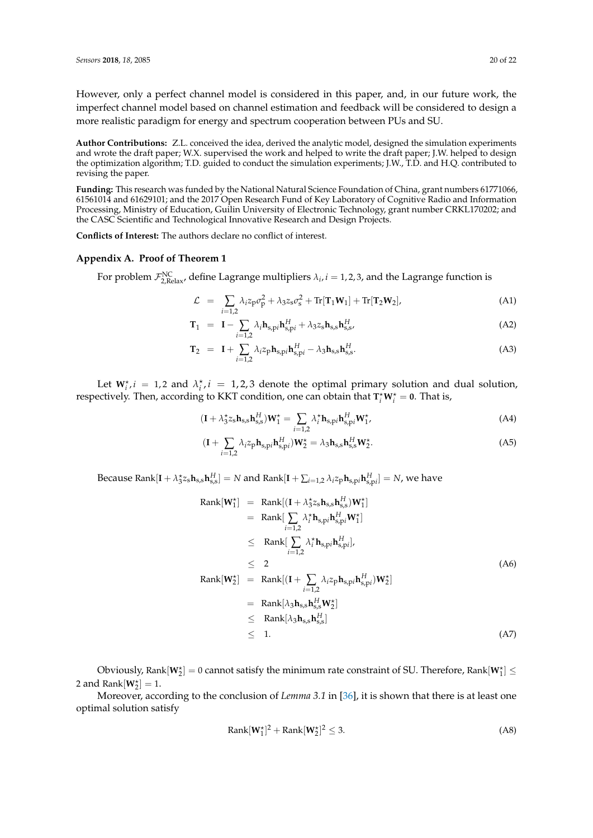However, only a perfect channel model is considered in this paper, and, in our future work, the imperfect channel model based on channel estimation and feedback will be considered to design a more realistic paradigm for energy and spectrum cooperation between PUs and SU.

**Author Contributions:** Z.L. conceived the idea, derived the analytic model, designed the simulation experiments and wrote the draft paper; W.X. supervised the work and helped to write the draft paper; J.W. helped to design the optimization algorithm; T.D. guided to conduct the simulation experiments; J.W., T.D. and H.Q. contributed to revising the paper.

**Funding:** This research was funded by the National Natural Science Foundation of China, grant numbers 61771066, 61561014 and 61629101; and the 2017 Open Research Fund of Key Laboratory of Cognitive Radio and Information Processing, Ministry of Education, Guilin University of Electronic Technology, grant number CRKL170202; and the CASC Scientific and Technological Innovative Research and Design Projects.

**Conflicts of Interest:** The authors declare no conflict of interest.

#### <span id="page-19-0"></span>**Appendix A. Proof of Theorem 1**

For problem  $\mathcal{F}_{2,\text{Relax}}^{\text{NC}}$ , define Lagrange multipliers  $\lambda_i$ ,  $i = 1, 2, 3$ , and the Lagrange function is

$$
\mathcal{L} = \sum_{i=1,2} \lambda_i z_p \sigma_p^2 + \lambda_3 z_s \sigma_s^2 + \text{Tr}[\mathbf{T}_1 \mathbf{W}_1] + \text{Tr}[\mathbf{T}_2 \mathbf{W}_2], \tag{A1}
$$

$$
\mathbf{T}_1 = \mathbf{I} - \sum_{i=1,2} \lambda_i \mathbf{h}_{s,pi} \mathbf{h}_{s,pi}^H + \lambda_3 z_s \mathbf{h}_{s,s} \mathbf{h}_{s,s}^H
$$
 (A2)

$$
\mathbf{T}_2 = \mathbf{I} + \sum_{i=1,2} \lambda_i z_p \mathbf{h}_{s,pi} \mathbf{h}_{s,pi}^H - \lambda_3 \mathbf{h}_{s,s} \mathbf{h}_{s,s}^H.
$$
 (A3)

Let  $W_i^*$ , *i* = 1, 2 and  $\lambda_i^*$ , *i* = 1, 2, 3 denote the optimal primary solution and dual solution, respectively. Then, according to KKT condition, one can obtain that  $T_i^{\star}W_i^{\star} = 0$ . That is,

$$
(\mathbf{I} + \lambda_3^{\star} z_s \mathbf{h}_{s,s} \mathbf{h}_{s,s}^H) \mathbf{W}_1^{\star} = \sum_{i=1,2} \lambda_i^{\star} \mathbf{h}_{s,pi} \mathbf{h}_{s,pi}^H \mathbf{W}_1^{\star},
$$
(A4)

$$
(\mathbf{I} + \sum_{i=1,2} \lambda_i z_p \mathbf{h}_{s,pi} \mathbf{h}_{s,pi}^H) \mathbf{W}_2^{\star} = \lambda_3 \mathbf{h}_{s,s} \mathbf{h}_{s,s}^H \mathbf{W}_2^{\star}.
$$
 (A5)

 $\text{Because } \text{Rank}[\textbf{I}+\lambda_3^{\star}z_{\text{s}}\textbf{h}_{\text{s,s}}\textbf{h}_{\text{s,s}}^H]=N \text{ and } \text{Rank}[\textbf{I}+\sum_{i=1,2}\lambda_i z_{\text{p}}\textbf{h}_{\text{s,p}i}\textbf{h}_{\text{s,p}i}^H]=N, \text{ we have}$ 

$$
Rank[\mathbf{W}_{1}^{\star}] = Rank[(\mathbf{I} + \lambda_{3}^{*}z_{s}\mathbf{h}_{s,s}\mathbf{h}_{s,s}^{H})\mathbf{W}_{1}^{\star}]
$$
\n
$$
= Rank[\sum_{i=1,2} \lambda_{i}^{*}\mathbf{h}_{s,pi}\mathbf{h}_{s,pi}^{H}\mathbf{W}_{1}^{\star}]
$$
\n
$$
\leq Rank[\sum_{i=1,2} \lambda_{i}^{*}\mathbf{h}_{s,pi}\mathbf{h}_{s,pi}^{H}],
$$
\n
$$
\leq 2
$$
\n
$$
Rank[\mathbf{W}_{2}^{\star}] = Rank[(\mathbf{I} + \sum_{i=1,2} \lambda_{i}z_{p}\mathbf{h}_{s,pi}\mathbf{h}_{s,pi}^{H})\mathbf{W}_{2}^{\star}]
$$
\n
$$
= Rank[\lambda_{3}\mathbf{h}_{s,s}\mathbf{h}_{s,s}^{H}\mathbf{W}_{2}^{\star}]
$$
\n
$$
\leq Rank[\lambda_{3}\mathbf{h}_{s,s}\mathbf{h}_{s,s}^{H}]\n\leq 1.
$$
\n(A7)

Obviously, Rank $[W_2^{\star}] = 0$  cannot satisfy the minimum rate constraint of SU. Therefore, Rank $[W_1^{\star}] \leq$ 2 and Rank $\left[\mathbf{W}_{2}^{\star}\right]=1$ .

Moreover, according to the conclusion of *Lemma 3.1* in [\[36\]](#page-21-14), it is shown that there is at least one optimal solution satisfy

$$
Rank[\mathbf{W}_1^{\star}]^2 + Rank[\mathbf{W}_2^{\star}]^2 \le 3. \tag{A8}
$$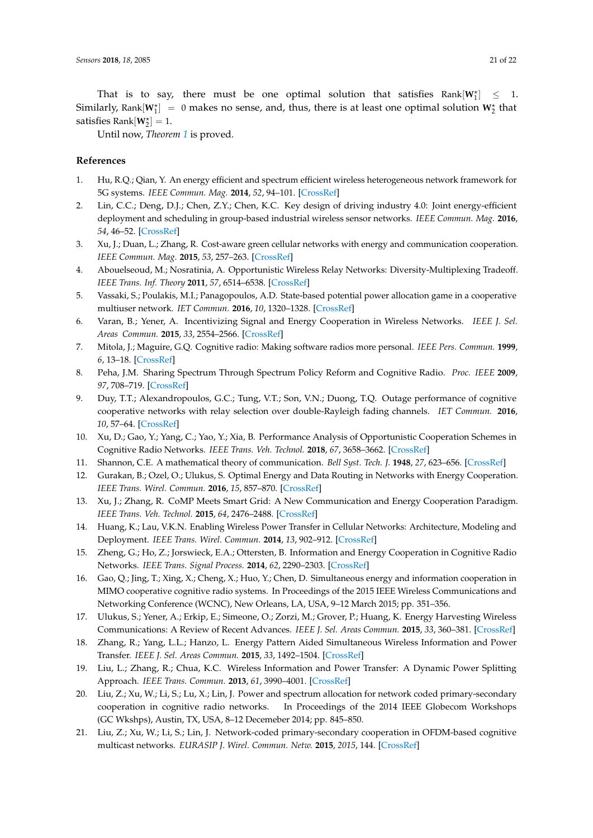That is to say, there must be one optimal solution that satisfies  $Rank[W_1^{\star}] \leq 1$ . Similarly, Rank $[W_1^*] = 0$  makes no sense, and, thus, there is at least one optimal solution  $W_2^*$  that satisfies  $Rank[W_2^{\star}] = 1.$ 

Until now, *Theorem [1](#page-12-0)* is proved.

# **References**

- <span id="page-20-0"></span>1. Hu, R.Q.; Qian, Y. An energy efficient and spectrum efficient wireless heterogeneous network framework for 5G systems. *IEEE Commun. Mag.* **2014**, *52*, 94–101. [\[CrossRef\]](http://dx.doi.org/10.1109/MCOM.2014.6815898)
- 2. Lin, C.C.; Deng, D.J.; Chen, Z.Y.; Chen, K.C. Key design of driving industry 4.0: Joint energy-efficient deployment and scheduling in group-based industrial wireless sensor networks. *IEEE Commun. Mag.* **2016**, *54*, 46–52. [\[CrossRef\]](http://dx.doi.org/10.1109/MCOM.2016.7588228)
- <span id="page-20-1"></span>3. Xu, J.; Duan, L.; Zhang, R. Cost-aware green cellular networks with energy and communication cooperation. *IEEE Commun. Mag.* **2015**, *53*, 257–263. [\[CrossRef\]](http://dx.doi.org/10.1109/MCOM.2015.7105673)
- <span id="page-20-2"></span>4. Abouelseoud, M.; Nosratinia, A. Opportunistic Wireless Relay Networks: Diversity-Multiplexing Tradeoff. *IEEE Trans. Inf. Theory* **2011**, *57*, 6514–6538. [\[CrossRef\]](http://dx.doi.org/10.1109/TIT.2011.2165153)
- <span id="page-20-3"></span>5. Vassaki, S.; Poulakis, M.I.; Panagopoulos, A.D. State-based potential power allocation game in a cooperative multiuser network. *IET Commun.* **2016**, *10*, 1320–1328. [\[CrossRef\]](http://dx.doi.org/10.1049/iet-com.2015.0942)
- <span id="page-20-4"></span>6. Varan, B.; Yener, A. Incentivizing Signal and Energy Cooperation in Wireless Networks. *IEEE J. Sel. Areas Commun.* **2015**, *33*, 2554–2566. [\[CrossRef\]](http://dx.doi.org/10.1109/JSAC.2015.2481279)
- <span id="page-20-5"></span>7. Mitola, J.; Maguire, G.Q. Cognitive radio: Making software radios more personal. *IEEE Pers. Commun.* **1999**, *6*, 13–18. [\[CrossRef\]](http://dx.doi.org/10.1109/98.788210)
- <span id="page-20-6"></span>8. Peha, J.M. Sharing Spectrum Through Spectrum Policy Reform and Cognitive Radio. *Proc. IEEE* **2009**, *97*, 708–719. [\[CrossRef\]](http://dx.doi.org/10.1109/JPROC.2009.2013033)
- 9. Duy, T.T.; Alexandropoulos, G.C.; Tung, V.T.; Son, V.N.; Duong, T.Q. Outage performance of cognitive cooperative networks with relay selection over double-Rayleigh fading channels. *IET Commun.* **2016**, *10*, 57–64. [\[CrossRef\]](http://dx.doi.org/10.1049/iet-com.2015.0236)
- <span id="page-20-7"></span>10. Xu, D.; Gao, Y.; Yang, C.; Yao, Y.; Xia, B. Performance Analysis of Opportunistic Cooperation Schemes in Cognitive Radio Networks. *IEEE Trans. Veh. Technol.* **2018**, *67*, 3658–3662. [\[CrossRef\]](http://dx.doi.org/10.1109/TVT.2017.2779164)
- <span id="page-20-8"></span>11. Shannon, C.E. A mathematical theory of communication. *Bell Syst. Tech. J.* **1948**, *27*, 623–656. [\[CrossRef\]](http://dx.doi.org/10.1002/j.1538-7305.1948.tb00917.x)
- <span id="page-20-9"></span>12. Gurakan, B.; Ozel, O.; Ulukus, S. Optimal Energy and Data Routing in Networks with Energy Cooperation. *IEEE Trans. Wirel. Commun.* **2016**, *15*, 857–870. [\[CrossRef\]](http://dx.doi.org/10.1109/TWC.2015.2479626)
- <span id="page-20-10"></span>13. Xu, J.; Zhang, R. CoMP Meets Smart Grid: A New Communication and Energy Cooperation Paradigm. *IEEE Trans. Veh. Technol.* **2015**, *64*, 2476–2488. [\[CrossRef\]](http://dx.doi.org/10.1109/TVT.2014.2345415)
- <span id="page-20-11"></span>14. Huang, K.; Lau, V.K.N. Enabling Wireless Power Transfer in Cellular Networks: Architecture, Modeling and Deployment. *IEEE Trans. Wirel. Commun.* **2014**, *13*, 902–912. [\[CrossRef\]](http://dx.doi.org/10.1109/TWC.2013.122313.130727)
- <span id="page-20-12"></span>15. Zheng, G.; Ho, Z.; Jorswieck, E.A.; Ottersten, B. Information and Energy Cooperation in Cognitive Radio Networks. *IEEE Trans. Signal Process.* **2014**, *62*, 2290–2303. [\[CrossRef\]](http://dx.doi.org/10.1109/TSP.2014.2310433)
- <span id="page-20-13"></span>16. Gao, Q.; Jing, T.; Xing, X.; Cheng, X.; Huo, Y.; Chen, D. Simultaneous energy and information cooperation in MIMO cooperative cognitive radio systems. In Proceedings of the 2015 IEEE Wireless Communications and Networking Conference (WCNC), New Orleans, LA, USA, 9–12 March 2015; pp. 351–356.
- <span id="page-20-14"></span>17. Ulukus, S.; Yener, A.; Erkip, E.; Simeone, O.; Zorzi, M.; Grover, P.; Huang, K. Energy Harvesting Wireless Communications: A Review of Recent Advances. *IEEE J. Sel. Areas Commun.* **2015**, *33*, 360–381. [\[CrossRef\]](http://dx.doi.org/10.1109/JSAC.2015.2391531)
- <span id="page-20-15"></span>18. Zhang, R.; Yang, L.L.; Hanzo, L. Energy Pattern Aided Simultaneous Wireless Information and Power Transfer. *IEEE J. Sel. Areas Commun.* **2015**, *33*, 1492–1504. [\[CrossRef\]](http://dx.doi.org/10.1109/JSAC.2015.2391551)
- <span id="page-20-16"></span>19. Liu, L.; Zhang, R.; Chua, K.C. Wireless Information and Power Transfer: A Dynamic Power Splitting Approach. *IEEE Trans. Commun.* **2013**, *61*, 3990–4001. [\[CrossRef\]](http://dx.doi.org/10.1109/TCOMM.2013.071813.130105)
- <span id="page-20-17"></span>20. Liu, Z.; Xu, W.; Li, S.; Lu, X.; Lin, J. Power and spectrum allocation for network coded primary-secondary cooperation in cognitive radio networks. In Proceedings of the 2014 IEEE Globecom Workshops (GC Wkshps), Austin, TX, USA, 8–12 Decemeber 2014; pp. 845–850.
- <span id="page-20-18"></span>21. Liu, Z.; Xu, W.; Li, S.; Lin, J. Network-coded primary-secondary cooperation in OFDM-based cognitive multicast networks. *EURASIP J. Wirel. Commun. Netw.* **2015**, *2015*, 144. [\[CrossRef\]](http://dx.doi.org/10.1186/s13638-015-0367-5)